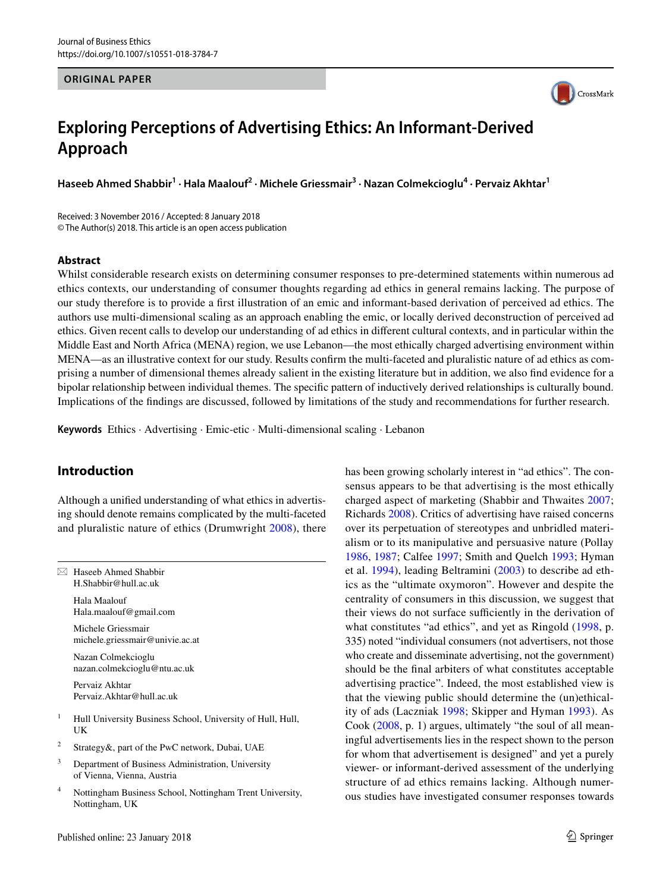#### **ORIGINAL PAPER**



# **Exploring Perceptions of Advertising Ethics: An Informant‑Derived Approach**

Haseeb Ahmed Shabbir<sup>1</sup> · Hala Maalouf<sup>2</sup> · Michele Griessmair<sup>3</sup> · Nazan Colmekcioglu<sup>4</sup> · Pervaiz Akhtar<sup>1</sup>

Received: 3 November 2016 / Accepted: 8 January 2018 © The Author(s) 2018. This article is an open access publication

#### **Abstract**

Whilst considerable research exists on determining consumer responses to pre-determined statements within numerous ad ethics contexts, our understanding of consumer thoughts regarding ad ethics in general remains lacking. The purpose of our study therefore is to provide a frst illustration of an emic and informant-based derivation of perceived ad ethics. The authors use multi-dimensional scaling as an approach enabling the emic, or locally derived deconstruction of perceived ad ethics. Given recent calls to develop our understanding of ad ethics in diferent cultural contexts, and in particular within the Middle East and North Africa (MENA) region, we use Lebanon—the most ethically charged advertising environment within MENA—as an illustrative context for our study. Results confrm the multi-faceted and pluralistic nature of ad ethics as comprising a number of dimensional themes already salient in the existing literature but in addition, we also fnd evidence for a bipolar relationship between individual themes. The specifc pattern of inductively derived relationships is culturally bound. Implications of the fndings are discussed, followed by limitations of the study and recommendations for further research.

**Keywords** Ethics · Advertising · Emic-etic · Multi-dimensional scaling · Lebanon

# **Introduction**

Although a unifed understanding of what ethics in advertising should denote remains complicated by the multi-faceted and pluralistic nature of ethics (Drumwright [2008](#page-14-0)), there

 $\boxtimes$  Haseeb Ahmed Shabbir H.Shabbir@hull.ac.uk

> Hala Maalouf Hala.maalouf@gmail.com

Michele Griessmair michele.griessmair@univie.ac.at

Nazan Colmekcioglu nazan.colmekcioglu@ntu.ac.uk

Pervaiz Akhtar Pervaiz.Akhtar@hull.ac.uk

- <sup>1</sup> Hull University Business School, University of Hull, Hull, UK
- <sup>2</sup> Strategy&, part of the PwC network, Dubai, UAE
- <sup>3</sup> Department of Business Administration, University of Vienna, Vienna, Austria
- <sup>4</sup> Nottingham Business School, Nottingham Trent University, Nottingham, UK

has been growing scholarly interest in "ad ethics". The consensus appears to be that advertising is the most ethically charged aspect of marketing (Shabbir and Thwaites [2007](#page-16-0); Richards [2008\)](#page-16-1). Critics of advertising have raised concerns over its perpetuation of stereotypes and unbridled materialism or to its manipulative and persuasive nature (Pollay [1986](#page-16-2), [1987;](#page-16-3) Calfee [1997;](#page-14-1) Smith and Quelch [1993](#page-16-4); Hyman et al. [1994\)](#page-15-0), leading Beltramini [\(2003\)](#page-14-2) to describe ad ethics as the "ultimate oxymoron". However and despite the centrality of consumers in this discussion, we suggest that their views do not surface sufficiently in the derivation of what constitutes "ad ethics", and yet as Ringold ([1998](#page-16-5), p. 335) noted "individual consumers (not advertisers, not those who create and disseminate advertising, not the government) should be the fnal arbiters of what constitutes acceptable advertising practice". Indeed, the most established view is that the viewing public should determine the (un)ethicality of ads (Laczniak [1998](#page-15-1); Skipper and Hyman [1993\)](#page-16-6). As Cook [\(2008](#page-14-3), p. 1) argues, ultimately "the soul of all meaningful advertisements lies in the respect shown to the person for whom that advertisement is designed" and yet a purely viewer- or informant-derived assessment of the underlying structure of ad ethics remains lacking. Although numerous studies have investigated consumer responses towards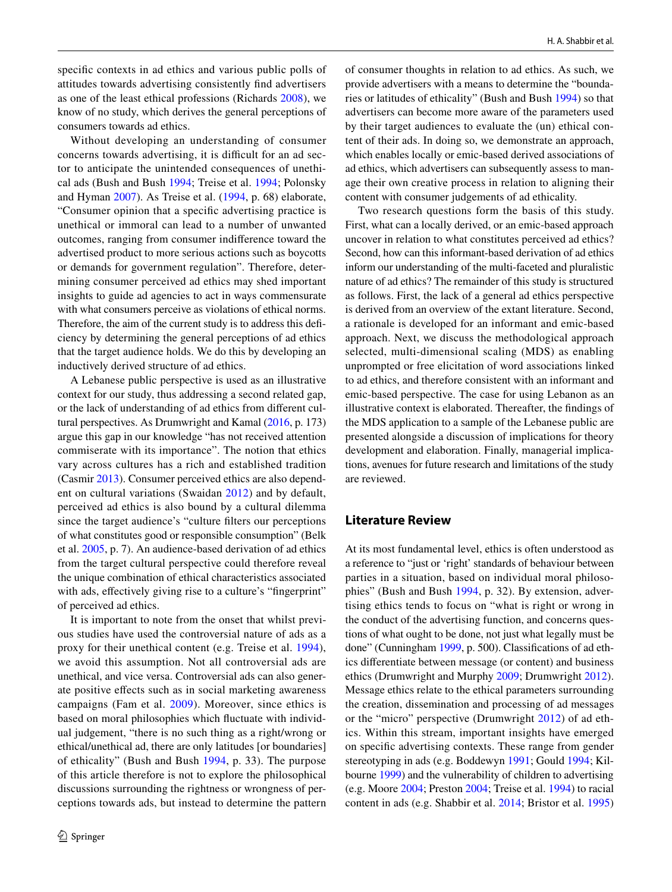specifc contexts in ad ethics and various public polls of attitudes towards advertising consistently fnd advertisers as one of the least ethical professions (Richards [2008\)](#page-16-1), we know of no study, which derives the general perceptions of consumers towards ad ethics.

Without developing an understanding of consumer concerns towards advertising, it is difficult for an ad sector to anticipate the unintended consequences of unethical ads (Bush and Bush [1994;](#page-14-4) Treise et al. [1994](#page-17-0); Polonsky and Hyman [2007](#page-16-7)). As Treise et al. [\(1994,](#page-17-0) p. 68) elaborate, "Consumer opinion that a specifc advertising practice is unethical or immoral can lead to a number of unwanted outcomes, ranging from consumer indiference toward the advertised product to more serious actions such as boycotts or demands for government regulation". Therefore, determining consumer perceived ad ethics may shed important insights to guide ad agencies to act in ways commensurate with what consumers perceive as violations of ethical norms. Therefore, the aim of the current study is to address this defciency by determining the general perceptions of ad ethics that the target audience holds. We do this by developing an inductively derived structure of ad ethics.

A Lebanese public perspective is used as an illustrative context for our study, thus addressing a second related gap, or the lack of understanding of ad ethics from diferent cultural perspectives. As Drumwright and Kamal [\(2016,](#page-14-5) p. 173) argue this gap in our knowledge "has not received attention commiserate with its importance". The notion that ethics vary across cultures has a rich and established tradition (Casmir [2013\)](#page-14-6). Consumer perceived ethics are also dependent on cultural variations (Swaidan [2012\)](#page-16-8) and by default, perceived ad ethics is also bound by a cultural dilemma since the target audience's "culture flters our perceptions of what constitutes good or responsible consumption" (Belk et al. [2005,](#page-14-7) p. 7). An audience-based derivation of ad ethics from the target cultural perspective could therefore reveal the unique combination of ethical characteristics associated with ads, effectively giving rise to a culture's "fingerprint" of perceived ad ethics.

It is important to note from the onset that whilst previous studies have used the controversial nature of ads as a proxy for their unethical content (e.g. Treise et al. [1994](#page-17-0)), we avoid this assumption. Not all controversial ads are unethical, and vice versa. Controversial ads can also generate positive efects such as in social marketing awareness campaigns (Fam et al. [2009](#page-15-2)). Moreover, since ethics is based on moral philosophies which fuctuate with individual judgement, "there is no such thing as a right/wrong or ethical/unethical ad, there are only latitudes [or boundaries] of ethicality" (Bush and Bush [1994,](#page-14-4) p. 33). The purpose of this article therefore is not to explore the philosophical discussions surrounding the rightness or wrongness of perceptions towards ads, but instead to determine the pattern of consumer thoughts in relation to ad ethics. As such, we provide advertisers with a means to determine the "boundaries or latitudes of ethicality" (Bush and Bush [1994\)](#page-14-4) so that advertisers can become more aware of the parameters used by their target audiences to evaluate the (un) ethical content of their ads. In doing so, we demonstrate an approach, which enables locally or emic-based derived associations of ad ethics, which advertisers can subsequently assess to manage their own creative process in relation to aligning their content with consumer judgements of ad ethicality.

Two research questions form the basis of this study. First, what can a locally derived, or an emic-based approach uncover in relation to what constitutes perceived ad ethics? Second, how can this informant-based derivation of ad ethics inform our understanding of the multi-faceted and pluralistic nature of ad ethics? The remainder of this study is structured as follows. First, the lack of a general ad ethics perspective is derived from an overview of the extant literature. Second, a rationale is developed for an informant and emic-based approach. Next, we discuss the methodological approach selected, multi-dimensional scaling (MDS) as enabling unprompted or free elicitation of word associations linked to ad ethics, and therefore consistent with an informant and emic-based perspective. The case for using Lebanon as an illustrative context is elaborated. Thereafter, the fndings of the MDS application to a sample of the Lebanese public are presented alongside a discussion of implications for theory development and elaboration. Finally, managerial implications, avenues for future research and limitations of the study are reviewed.

# **Literature Review**

At its most fundamental level, ethics is often understood as a reference to "just or 'right' standards of behaviour between parties in a situation, based on individual moral philosophies" (Bush and Bush [1994](#page-14-4), p. 32). By extension, advertising ethics tends to focus on "what is right or wrong in the conduct of the advertising function, and concerns questions of what ought to be done, not just what legally must be done" (Cunningham [1999](#page-14-8), p. 500). Classifcations of ad ethics diferentiate between message (or content) and business ethics (Drumwright and Murphy [2009](#page-15-3); Drumwright [2012](#page-14-9)). Message ethics relate to the ethical parameters surrounding the creation, dissemination and processing of ad messages or the "micro" perspective (Drumwright [2012\)](#page-14-9) of ad ethics. Within this stream, important insights have emerged on specifc advertising contexts. These range from gender stereotyping in ads (e.g. Boddewyn [1991](#page-14-10); Gould [1994;](#page-15-4) Kilbourne [1999\)](#page-15-5) and the vulnerability of children to advertising (e.g. Moore [2004](#page-16-9); Preston [2004;](#page-16-10) Treise et al. [1994](#page-17-0)) to racial content in ads (e.g. Shabbir et al. [2014](#page-16-11); Bristor et al. [1995\)](#page-14-11)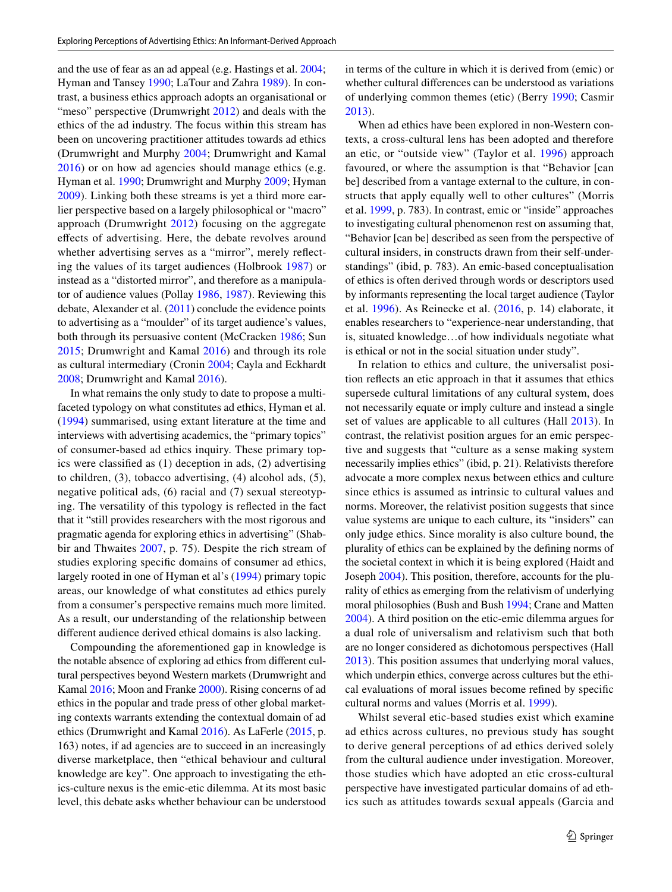and the use of fear as an ad appeal (e.g. Hastings et al. [2004](#page-15-6); Hyman and Tansey [1990](#page-15-7); LaTour and Zahra [1989](#page-15-8)). In contrast, a business ethics approach adopts an organisational or "meso" perspective (Drumwright [2012](#page-14-9)) and deals with the ethics of the ad industry. The focus within this stream has been on uncovering practitioner attitudes towards ad ethics (Drumwright and Murphy [2004;](#page-15-9) Drumwright and Kamal [2016\)](#page-14-5) or on how ad agencies should manage ethics (e.g. Hyman et al. [1990;](#page-15-10) Drumwright and Murphy [2009](#page-15-3); Hyman [2009](#page-15-11)). Linking both these streams is yet a third more earlier perspective based on a largely philosophical or "macro" approach (Drumwright [2012](#page-14-9)) focusing on the aggregate efects of advertising. Here, the debate revolves around whether advertising serves as a "mirror", merely reflecting the values of its target audiences (Holbrook [1987](#page-15-12)) or instead as a "distorted mirror", and therefore as a manipulator of audience values (Pollay [1986,](#page-16-2) [1987\)](#page-16-3). Reviewing this debate, Alexander et al. [\(2011](#page-14-12)) conclude the evidence points to advertising as a "moulder" of its target audience's values, both through its persuasive content (McCracken [1986](#page-16-12); Sun [2015;](#page-16-13) Drumwright and Kamal [2016\)](#page-14-5) and through its role as cultural intermediary (Cronin [2004;](#page-14-13) Cayla and Eckhardt [2008](#page-14-14); Drumwright and Kamal [2016\)](#page-14-5).

In what remains the only study to date to propose a multifaceted typology on what constitutes ad ethics, Hyman et al. [\(1994\)](#page-15-0) summarised, using extant literature at the time and interviews with advertising academics, the "primary topics" of consumer-based ad ethics inquiry. These primary topics were classifed as (1) deception in ads, (2) advertising to children, (3), tobacco advertising, (4) alcohol ads, (5), negative political ads, (6) racial and (7) sexual stereotyping. The versatility of this typology is refected in the fact that it "still provides researchers with the most rigorous and pragmatic agenda for exploring ethics in advertising" (Shabbir and Thwaites [2007,](#page-16-0) p. 75). Despite the rich stream of studies exploring specifc domains of consumer ad ethics, largely rooted in one of Hyman et al's [\(1994\)](#page-15-0) primary topic areas, our knowledge of what constitutes ad ethics purely from a consumer's perspective remains much more limited. As a result, our understanding of the relationship between diferent audience derived ethical domains is also lacking.

Compounding the aforementioned gap in knowledge is the notable absence of exploring ad ethics from diferent cultural perspectives beyond Western markets (Drumwright and Kamal [2016](#page-14-5); Moon and Franke [2000\)](#page-16-14). Rising concerns of ad ethics in the popular and trade press of other global marketing contexts warrants extending the contextual domain of ad ethics (Drumwright and Kamal [2016](#page-14-5)). As LaFerle ([2015,](#page-15-13) p. 163) notes, if ad agencies are to succeed in an increasingly diverse marketplace, then "ethical behaviour and cultural knowledge are key". One approach to investigating the ethics-culture nexus is the emic-etic dilemma. At its most basic level, this debate asks whether behaviour can be understood in terms of the culture in which it is derived from (emic) or whether cultural diferences can be understood as variations of underlying common themes (etic) (Berry [1990](#page-14-15); Casmir [2013](#page-14-6)).

When ad ethics have been explored in non-Western contexts, a cross-cultural lens has been adopted and therefore an etic, or "outside view" (Taylor et al. [1996](#page-16-15)) approach favoured, or where the assumption is that "Behavior [can be] described from a vantage external to the culture, in constructs that apply equally well to other cultures" (Morris et al. [1999,](#page-16-16) p. 783). In contrast, emic or "inside" approaches to investigating cultural phenomenon rest on assuming that, "Behavior [can be] described as seen from the perspective of cultural insiders, in constructs drawn from their self-understandings" (ibid, p. 783). An emic-based conceptualisation of ethics is often derived through words or descriptors used by informants representing the local target audience (Taylor et al. [1996](#page-16-15)). As Reinecke et al. [\(2016,](#page-16-17) p. 14) elaborate, it enables researchers to "experience-near understanding, that is, situated knowledge…of how individuals negotiate what is ethical or not in the social situation under study".

In relation to ethics and culture, the universalist position refects an etic approach in that it assumes that ethics supersede cultural limitations of any cultural system, does not necessarily equate or imply culture and instead a single set of values are applicable to all cultures (Hall [2013\)](#page-15-14). In contrast, the relativist position argues for an emic perspective and suggests that "culture as a sense making system necessarily implies ethics" (ibid, p. 21). Relativists therefore advocate a more complex nexus between ethics and culture since ethics is assumed as intrinsic to cultural values and norms. Moreover, the relativist position suggests that since value systems are unique to each culture, its "insiders" can only judge ethics. Since morality is also culture bound, the plurality of ethics can be explained by the defning norms of the societal context in which it is being explored (Haidt and Joseph [2004\)](#page-15-15). This position, therefore, accounts for the plurality of ethics as emerging from the relativism of underlying moral philosophies (Bush and Bush [1994;](#page-14-4) Crane and Matten [2004](#page-14-16)). A third position on the etic-emic dilemma argues for a dual role of universalism and relativism such that both are no longer considered as dichotomous perspectives (Hall [2013](#page-15-14)). This position assumes that underlying moral values, which underpin ethics, converge across cultures but the ethical evaluations of moral issues become refned by specifc cultural norms and values (Morris et al. [1999](#page-16-16)).

Whilst several etic-based studies exist which examine ad ethics across cultures, no previous study has sought to derive general perceptions of ad ethics derived solely from the cultural audience under investigation. Moreover, those studies which have adopted an etic cross-cultural perspective have investigated particular domains of ad ethics such as attitudes towards sexual appeals (Garcia and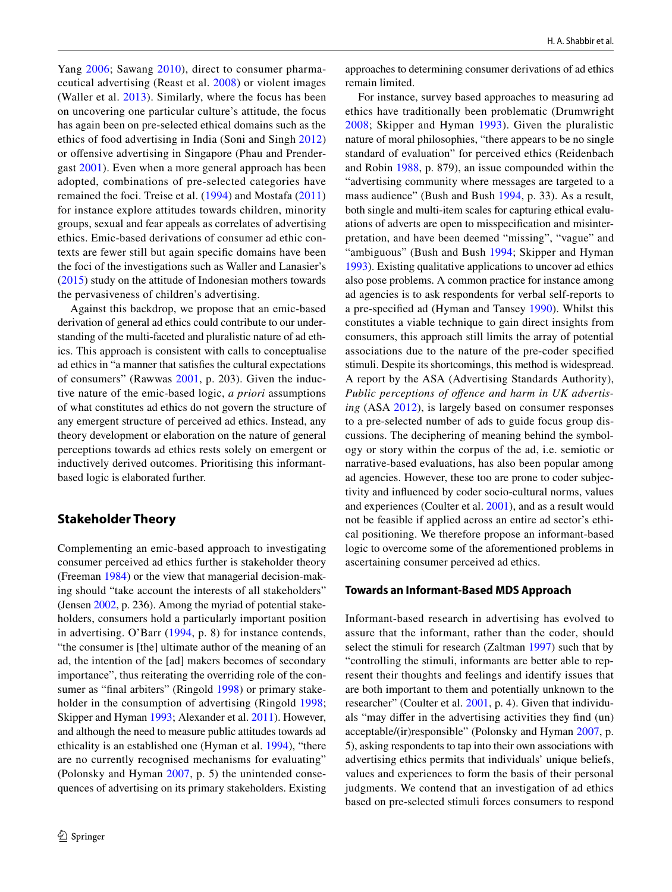Yang [2006](#page-15-16); Sawang [2010\)](#page-16-18), direct to consumer pharmaceutical advertising (Reast et al. [2008\)](#page-16-19) or violent images (Waller et al. [2013](#page-17-1)). Similarly, where the focus has been on uncovering one particular culture's attitude, the focus has again been on pre-selected ethical domains such as the ethics of food advertising in India (Soni and Singh [2012\)](#page-16-20) or offensive advertising in Singapore (Phau and Prendergast [2001](#page-16-21)). Even when a more general approach has been adopted, combinations of pre-selected categories have remained the foci. Treise et al. ([1994](#page-17-0)) and Mostafa ([2011\)](#page-17-2) for instance explore attitudes towards children, minority groups, sexual and fear appeals as correlates of advertising ethics. Emic-based derivations of consumer ad ethic contexts are fewer still but again specifc domains have been the foci of the investigations such as Waller and Lanasier's [\(2015\)](#page-17-3) study on the attitude of Indonesian mothers towards the pervasiveness of children's advertising.

Against this backdrop, we propose that an emic-based derivation of general ad ethics could contribute to our understanding of the multi-faceted and pluralistic nature of ad ethics. This approach is consistent with calls to conceptualise ad ethics in "a manner that satisfes the cultural expectations of consumers" (Rawwas [2001,](#page-16-22) p. 203). Given the inductive nature of the emic-based logic, *a priori* assumptions of what constitutes ad ethics do not govern the structure of any emergent structure of perceived ad ethics. Instead, any theory development or elaboration on the nature of general perceptions towards ad ethics rests solely on emergent or inductively derived outcomes. Prioritising this informantbased logic is elaborated further.

# **Stakeholder Theory**

Complementing an emic-based approach to investigating consumer perceived ad ethics further is stakeholder theory (Freeman [1984](#page-15-17)) or the view that managerial decision-making should "take account the interests of all stakeholders" (Jensen [2002](#page-15-18), p. 236). Among the myriad of potential stakeholders, consumers hold a particularly important position in advertising. O'Barr ([1994](#page-16-23), p. 8) for instance contends, "the consumer is [the] ultimate author of the meaning of an ad, the intention of the [ad] makers becomes of secondary importance", thus reiterating the overriding role of the con-sumer as "final arbiters" (Ringold [1998](#page-16-5)) or primary stake-holder in the consumption of advertising (Ringold [1998](#page-16-5); Skipper and Hyman [1993;](#page-16-6) Alexander et al. [2011\)](#page-14-12). However, and although the need to measure public attitudes towards ad ethicality is an established one (Hyman et al. [1994\)](#page-15-0), "there are no currently recognised mechanisms for evaluating" (Polonsky and Hyman [2007](#page-16-7), p. 5) the unintended consequences of advertising on its primary stakeholders. Existing approaches to determining consumer derivations of ad ethics remain limited.

For instance, survey based approaches to measuring ad ethics have traditionally been problematic (Drumwright [2008](#page-14-0); Skipper and Hyman [1993](#page-16-6)). Given the pluralistic nature of moral philosophies, "there appears to be no single standard of evaluation" for perceived ethics (Reidenbach and Robin [1988,](#page-16-24) p. 879), an issue compounded within the "advertising community where messages are targeted to a mass audience" (Bush and Bush [1994](#page-14-4), p. 33). As a result, both single and multi-item scales for capturing ethical evaluations of adverts are open to misspecifcation and misinterpretation, and have been deemed "missing", "vague" and "ambiguous" (Bush and Bush [1994;](#page-14-4) Skipper and Hyman [1993](#page-16-6)). Existing qualitative applications to uncover ad ethics also pose problems. A common practice for instance among ad agencies is to ask respondents for verbal self-reports to a pre-specifed ad (Hyman and Tansey [1990\)](#page-15-7). Whilst this constitutes a viable technique to gain direct insights from consumers, this approach still limits the array of potential associations due to the nature of the pre-coder specifed stimuli. Despite its shortcomings, this method is widespread. A report by the ASA (Advertising Standards Authority), *Public perceptions of ofence and harm in UK advertising* (ASA [2012\)](#page-14-17), is largely based on consumer responses to a pre-selected number of ads to guide focus group discussions. The deciphering of meaning behind the symbology or story within the corpus of the ad, i.e. semiotic or narrative-based evaluations, has also been popular among ad agencies. However, these too are prone to coder subjectivity and infuenced by coder socio-cultural norms, values and experiences (Coulter et al. [2001](#page-14-18)), and as a result would not be feasible if applied across an entire ad sector's ethical positioning. We therefore propose an informant-based logic to overcome some of the aforementioned problems in ascertaining consumer perceived ad ethics.

### **Towards an Informant‑Based MDS Approach**

Informant-based research in advertising has evolved to assure that the informant, rather than the coder, should select the stimuli for research (Zaltman [1997\)](#page-17-4) such that by "controlling the stimuli, informants are better able to represent their thoughts and feelings and identify issues that are both important to them and potentially unknown to the researcher" (Coulter et al. [2001](#page-14-18), p. 4). Given that individuals "may difer in the advertising activities they fnd (un) acceptable/(ir)responsible" (Polonsky and Hyman [2007](#page-16-7), p. 5), asking respondents to tap into their own associations with advertising ethics permits that individuals' unique beliefs, values and experiences to form the basis of their personal judgments. We contend that an investigation of ad ethics based on pre-selected stimuli forces consumers to respond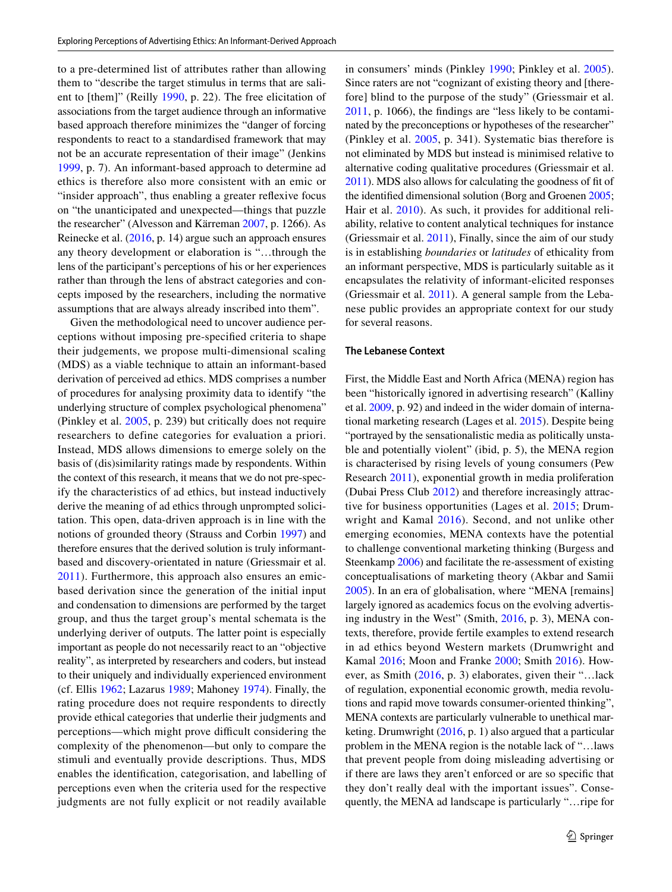to a pre-determined list of attributes rather than allowing them to "describe the target stimulus in terms that are salient to [them]" (Reilly [1990,](#page-16-25) p. 22). The free elicitation of associations from the target audience through an informative based approach therefore minimizes the "danger of forcing respondents to react to a standardised framework that may not be an accurate representation of their image" (Jenkins [1999](#page-15-19), p. 7). An informant-based approach to determine ad ethics is therefore also more consistent with an emic or "insider approach", thus enabling a greater reflexive focus on "the unanticipated and unexpected—things that puzzle the researcher" (Alvesson and Kärreman [2007](#page-14-19), p. 1266). As Reinecke et al. [\(2016](#page-16-17), p. 14) argue such an approach ensures any theory development or elaboration is "…through the lens of the participant's perceptions of his or her experiences rather than through the lens of abstract categories and concepts imposed by the researchers, including the normative assumptions that are always already inscribed into them".

Given the methodological need to uncover audience perceptions without imposing pre-specifed criteria to shape their judgements, we propose multi-dimensional scaling (MDS) as a viable technique to attain an informant-based derivation of perceived ad ethics. MDS comprises a number of procedures for analysing proximity data to identify "the underlying structure of complex psychological phenomena" (Pinkley et al. [2005](#page-16-26), p. 239) but critically does not require researchers to define categories for evaluation a priori. Instead, MDS allows dimensions to emerge solely on the basis of (dis)similarity ratings made by respondents. Within the context of this research, it means that we do not pre-specify the characteristics of ad ethics, but instead inductively derive the meaning of ad ethics through unprompted solicitation. This open, data-driven approach is in line with the notions of grounded theory (Strauss and Corbin [1997](#page-16-27)) and therefore ensures that the derived solution is truly informantbased and discovery-orientated in nature (Griessmair et al. [2011\)](#page-15-20). Furthermore, this approach also ensures an emicbased derivation since the generation of the initial input and condensation to dimensions are performed by the target group, and thus the target group's mental schemata is the underlying deriver of outputs. The latter point is especially important as people do not necessarily react to an "objective reality", as interpreted by researchers and coders, but instead to their uniquely and individually experienced environment (cf. Ellis [1962;](#page-15-21) Lazarus [1989](#page-16-28); Mahoney [1974](#page-16-29)). Finally, the rating procedure does not require respondents to directly provide ethical categories that underlie their judgments and perceptions—which might prove difficult considering the complexity of the phenomenon—but only to compare the stimuli and eventually provide descriptions. Thus, MDS enables the identifcation, categorisation, and labelling of perceptions even when the criteria used for the respective judgments are not fully explicit or not readily available in consumers' minds (Pinkley [1990;](#page-16-30) Pinkley et al. [2005](#page-16-26)). Since raters are not "cognizant of existing theory and [therefore] blind to the purpose of the study" (Griessmair et al. [2011](#page-15-20), p. 1066), the fndings are "less likely to be contaminated by the preconceptions or hypotheses of the researcher" (Pinkley et al. [2005](#page-16-26), p. 341). Systematic bias therefore is not eliminated by MDS but instead is minimised relative to alternative coding qualitative procedures (Griessmair et al. [2011\)](#page-15-20). MDS also allows for calculating the goodness of ft of the identifed dimensional solution (Borg and Groenen [2005](#page-14-20); Hair et al. [2010\)](#page-15-22). As such, it provides for additional reliability, relative to content analytical techniques for instance (Griessmair et al. [2011\)](#page-15-20), Finally, since the aim of our study is in establishing *boundaries* or *latitudes* of ethicality from an informant perspective, MDS is particularly suitable as it encapsulates the relativity of informant-elicited responses (Griessmair et al. [2011](#page-15-20)). A general sample from the Lebanese public provides an appropriate context for our study for several reasons.

### **The Lebanese Context**

First, the Middle East and North Africa (MENA) region has been "historically ignored in advertising research" (Kalliny et al. [2009](#page-15-23), p. 92) and indeed in the wider domain of international marketing research (Lages et al. [2015\)](#page-15-24). Despite being "portrayed by the sensationalistic media as politically unstable and potentially violent" (ibid, p. 5), the MENA region is characterised by rising levels of young consumers (Pew Research [2011\)](#page-16-31), exponential growth in media proliferation (Dubai Press Club [2012\)](#page-15-25) and therefore increasingly attractive for business opportunities (Lages et al. [2015;](#page-15-24) Drumwright and Kamal [2016](#page-14-5)). Second, and not unlike other emerging economies, MENA contexts have the potential to challenge conventional marketing thinking (Burgess and Steenkamp [2006](#page-14-21)) and facilitate the re-assessment of existing conceptualisations of marketing theory (Akbar and Samii [2005](#page-14-22)). In an era of globalisation, where "MENA [remains] largely ignored as academics focus on the evolving advertising industry in the West" (Smith, [2016,](#page-16-32) p. 3), MENA contexts, therefore, provide fertile examples to extend research in ad ethics beyond Western markets (Drumwright and Kamal [2016;](#page-14-5) Moon and Franke [2000](#page-16-14); Smith [2016\)](#page-16-32). However, as Smith ([2016](#page-16-32), p. 3) elaborates, given their "…lack of regulation, exponential economic growth, media revolutions and rapid move towards consumer-oriented thinking", MENA contexts are particularly vulnerable to unethical marketing. Drumwright [\(2016](#page-14-23), p. 1) also argued that a particular problem in the MENA region is the notable lack of "…laws that prevent people from doing misleading advertising or if there are laws they aren't enforced or are so specifc that they don't really deal with the important issues". Consequently, the MENA ad landscape is particularly "…ripe for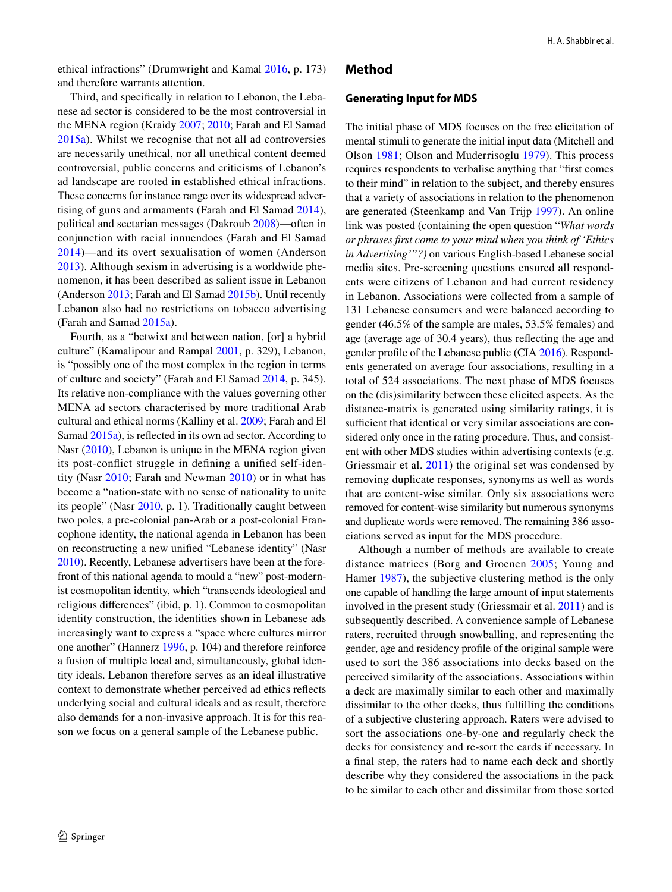ethical infractions" (Drumwright and Kamal [2016,](#page-14-5) p. 173) and therefore warrants attention.

Third, and specifcally in relation to Lebanon, the Lebanese ad sector is considered to be the most controversial in the MENA region (Kraidy [2007;](#page-15-26) [2010;](#page-15-27) Farah and El Samad [2015a](#page-15-28)). Whilst we recognise that not all ad controversies are necessarily unethical, nor all unethical content deemed controversial, public concerns and criticisms of Lebanon's ad landscape are rooted in established ethical infractions. These concerns for instance range over its widespread advertising of guns and armaments (Farah and El Samad [2014](#page-15-29)), political and sectarian messages (Dakroub [2008](#page-14-24))—often in conjunction with racial innuendoes (Farah and El Samad [2014\)](#page-15-29)—and its overt sexualisation of women (Anderson [2013](#page-14-25)). Although sexism in advertising is a worldwide phenomenon, it has been described as salient issue in Lebanon (Anderson [2013](#page-14-25); Farah and El Samad [2015b\)](#page-15-30). Until recently Lebanon also had no restrictions on tobacco advertising (Farah and Samad [2015a](#page-15-28)).

Fourth, as a "betwixt and between nation, [or] a hybrid culture" (Kamalipour and Rampal [2001](#page-15-31), p. 329), Lebanon, is "possibly one of the most complex in the region in terms of culture and society" (Farah and El Samad [2014,](#page-15-29) p. 345). Its relative non-compliance with the values governing other MENA ad sectors characterised by more traditional Arab cultural and ethical norms (Kalliny et al. [2009;](#page-15-23) Farah and El Samad [2015a](#page-15-28)), is refected in its own ad sector. According to Nasr ([2010\)](#page-16-33), Lebanon is unique in the MENA region given its post-confict struggle in defning a unifed self-identity (Nasr [2010;](#page-16-33) Farah and Newman [2010\)](#page-15-32) or in what has become a "nation-state with no sense of nationality to unite its people" (Nasr [2010](#page-16-33), p. 1). Traditionally caught between two poles, a pre-colonial pan-Arab or a post-colonial Francophone identity, the national agenda in Lebanon has been on reconstructing a new unifed "Lebanese identity" (Nasr [2010](#page-16-33)). Recently, Lebanese advertisers have been at the forefront of this national agenda to mould a "new" post-modernist cosmopolitan identity, which "transcends ideological and religious diferences" (ibid, p. 1). Common to cosmopolitan identity construction, the identities shown in Lebanese ads increasingly want to express a "space where cultures mirror one another" (Hannerz [1996,](#page-15-33) p. 104) and therefore reinforce a fusion of multiple local and, simultaneously, global identity ideals. Lebanon therefore serves as an ideal illustrative context to demonstrate whether perceived ad ethics refects underlying social and cultural ideals and as result, therefore also demands for a non-invasive approach. It is for this reason we focus on a general sample of the Lebanese public.

# **Method**

### **Generating Input for MDS**

The initial phase of MDS focuses on the free elicitation of mental stimuli to generate the initial input data (Mitchell and Olson [1981;](#page-16-34) Olson and Muderrisoglu [1979\)](#page-16-35). This process requires respondents to verbalise anything that "frst comes to their mind" in relation to the subject, and thereby ensures that a variety of associations in relation to the phenomenon are generated (Steenkamp and Van Trijp [1997\)](#page-16-36). An online link was posted (containing the open question "*What words or phrases frst come to your mind when you think of 'Ethics in Advertising'"?)* on various English-based Lebanese social media sites. Pre-screening questions ensured all respondents were citizens of Lebanon and had current residency in Lebanon. Associations were collected from a sample of 131 Lebanese consumers and were balanced according to gender (46.5% of the sample are males, 53.5% females) and age (average age of 30.4 years), thus refecting the age and gender profle of the Lebanese public (CIA [2016](#page-14-26)). Respondents generated on average four associations, resulting in a total of 524 associations. The next phase of MDS focuses on the (dis)similarity between these elicited aspects. As the distance-matrix is generated using similarity ratings, it is sufficient that identical or very similar associations are considered only once in the rating procedure. Thus, and consistent with other MDS studies within advertising contexts (e.g. Griessmair et al. [2011](#page-15-20)) the original set was condensed by removing duplicate responses, synonyms as well as words that are content-wise similar. Only six associations were removed for content-wise similarity but numerous synonyms and duplicate words were removed. The remaining 386 associations served as input for the MDS procedure.

Although a number of methods are available to create distance matrices (Borg and Groenen [2005](#page-14-20); Young and Hamer [1987\)](#page-17-5), the subjective clustering method is the only one capable of handling the large amount of input statements involved in the present study (Griessmair et al. [2011](#page-15-20)) and is subsequently described. A convenience sample of Lebanese raters, recruited through snowballing, and representing the gender, age and residency profle of the original sample were used to sort the 386 associations into decks based on the perceived similarity of the associations. Associations within a deck are maximally similar to each other and maximally dissimilar to the other decks, thus fulflling the conditions of a subjective clustering approach. Raters were advised to sort the associations one-by-one and regularly check the decks for consistency and re-sort the cards if necessary. In a fnal step, the raters had to name each deck and shortly describe why they considered the associations in the pack to be similar to each other and dissimilar from those sorted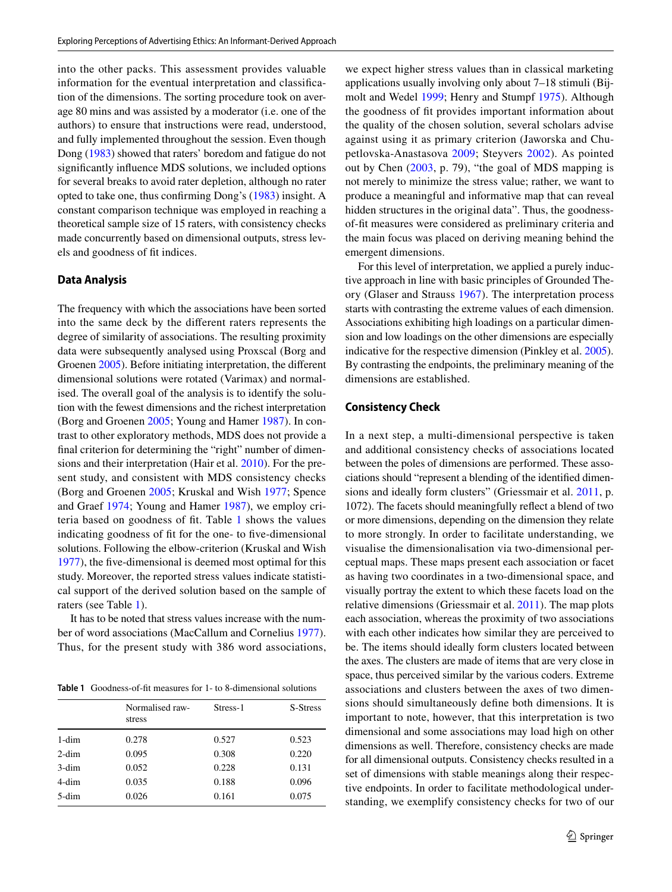into the other packs. This assessment provides valuable information for the eventual interpretation and classifcation of the dimensions. The sorting procedure took on average 80 mins and was assisted by a moderator (i.e. one of the authors) to ensure that instructions were read, understood, and fully implemented throughout the session. Even though Dong ([1983\)](#page-14-27) showed that raters' boredom and fatigue do not signifcantly infuence MDS solutions, we included options for several breaks to avoid rater depletion, although no rater opted to take one, thus confrming Dong's [\(1983](#page-14-27)) insight. A constant comparison technique was employed in reaching a theoretical sample size of 15 raters, with consistency checks made concurrently based on dimensional outputs, stress levels and goodness of ft indices.

### **Data Analysis**

The frequency with which the associations have been sorted into the same deck by the diferent raters represents the degree of similarity of associations. The resulting proximity data were subsequently analysed using Proxscal (Borg and Groenen [2005](#page-14-20)). Before initiating interpretation, the diferent dimensional solutions were rotated (Varimax) and normalised. The overall goal of the analysis is to identify the solution with the fewest dimensions and the richest interpretation (Borg and Groenen [2005;](#page-14-20) Young and Hamer [1987](#page-17-5)). In contrast to other exploratory methods, MDS does not provide a fnal criterion for determining the "right" number of dimensions and their interpretation (Hair et al. [2010\)](#page-15-22). For the present study, and consistent with MDS consistency checks (Borg and Groenen [2005](#page-14-20); Kruskal and Wish [1977](#page-15-34); Spence and Graef [1974;](#page-16-37) Young and Hamer [1987\)](#page-17-5), we employ criteria based on goodness of ft. Table [1](#page-6-0) shows the values indicating goodness of ft for the one- to fve-dimensional solutions. Following the elbow-criterion (Kruskal and Wish [1977](#page-15-34)), the fve-dimensional is deemed most optimal for this study. Moreover, the reported stress values indicate statistical support of the derived solution based on the sample of raters (see Table [1\)](#page-6-0).

It has to be noted that stress values increase with the number of word associations (MacCallum and Cornelius [1977](#page-16-38)). Thus, for the present study with 386 word associations,

<span id="page-6-0"></span>**Table 1** Goodness-of-ft measures for 1- to 8-dimensional solutions

|          | Normalised raw-<br>stress | Stress-1 | <b>S-Stress</b> |
|----------|---------------------------|----------|-----------------|
| 1-dim    | 0.278                     | 0.527    | 0.523           |
| $2$ -dim | 0.095                     | 0.308    | 0.220           |
| $3$ -dim | 0.052                     | 0.228    | 0.131           |
| 4-dim    | 0.035                     | 0.188    | 0.096           |
| 5-dim    | 0.026                     | 0.161    | 0.075           |

we expect higher stress values than in classical marketing applications usually involving only about 7–18 stimuli (Bijmolt and Wedel [1999;](#page-14-28) Henry and Stumpf [1975](#page-15-35)). Although the goodness of ft provides important information about the quality of the chosen solution, several scholars advise against using it as primary criterion (Jaworska and Chupetlovska-Anastasova [2009;](#page-15-36) Steyvers [2002](#page-16-39)). As pointed out by Chen ([2003](#page-14-29), p. 79), "the goal of MDS mapping is not merely to minimize the stress value; rather, we want to produce a meaningful and informative map that can reveal hidden structures in the original data". Thus, the goodnessof-ft measures were considered as preliminary criteria and the main focus was placed on deriving meaning behind the emergent dimensions.

For this level of interpretation, we applied a purely inductive approach in line with basic principles of Grounded Theory (Glaser and Strauss [1967\)](#page-15-37). The interpretation process starts with contrasting the extreme values of each dimension. Associations exhibiting high loadings on a particular dimension and low loadings on the other dimensions are especially indicative for the respective dimension (Pinkley et al. [2005](#page-16-26)). By contrasting the endpoints, the preliminary meaning of the dimensions are established.

### **Consistency Check**

In a next step, a multi-dimensional perspective is taken and additional consistency checks of associations located between the poles of dimensions are performed. These associations should "represent a blending of the identifed dimensions and ideally form clusters" (Griessmair et al. [2011](#page-15-20), p. 1072). The facets should meaningfully refect a blend of two or more dimensions, depending on the dimension they relate to more strongly. In order to facilitate understanding, we visualise the dimensionalisation via two-dimensional perceptual maps. These maps present each association or facet as having two coordinates in a two-dimensional space, and visually portray the extent to which these facets load on the relative dimensions (Griessmair et al. [2011\)](#page-15-20). The map plots each association, whereas the proximity of two associations with each other indicates how similar they are perceived to be. The items should ideally form clusters located between the axes. The clusters are made of items that are very close in space, thus perceived similar by the various coders. Extreme associations and clusters between the axes of two dimensions should simultaneously defne both dimensions. It is important to note, however, that this interpretation is two dimensional and some associations may load high on other dimensions as well. Therefore, consistency checks are made for all dimensional outputs. Consistency checks resulted in a set of dimensions with stable meanings along their respective endpoints. In order to facilitate methodological understanding, we exemplify consistency checks for two of our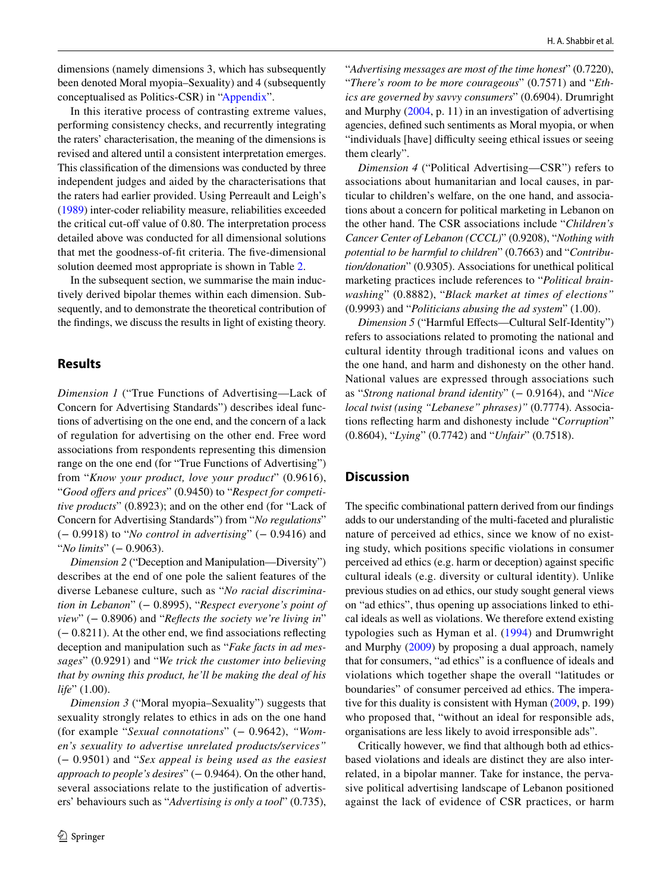dimensions (namely dimensions 3, which has subsequently been denoted Moral myopia–Sexuality) and 4 (subsequently conceptualised as Politics-CSR) in ["Appendix"](#page-13-0).

In this iterative process of contrasting extreme values, performing consistency checks, and recurrently integrating the raters' characterisation, the meaning of the dimensions is revised and altered until a consistent interpretation emerges. This classifcation of the dimensions was conducted by three independent judges and aided by the characterisations that the raters had earlier provided. Using Perreault and Leigh's [\(1989](#page-16-40)) inter-coder reliability measure, reliabilities exceeded the critical cut-off value of 0.80. The interpretation process detailed above was conducted for all dimensional solutions that met the goodness-of-ft criteria. The fve-dimensional solution deemed most appropriate is shown in Table [2.](#page-8-0)

In the subsequent section, we summarise the main inductively derived bipolar themes within each dimension. Subsequently, and to demonstrate the theoretical contribution of the fndings, we discuss the results in light of existing theory.

# **Results**

*Dimension 1* ("True Functions of Advertising—Lack of Concern for Advertising Standards") describes ideal functions of advertising on the one end, and the concern of a lack of regulation for advertising on the other end. Free word associations from respondents representing this dimension range on the one end (for "True Functions of Advertising") from "*Know your product, love your product*" (0.9616), "*Good ofers and prices*" (0.9450) to "*Respect for competitive products*" (0.8923); and on the other end (for "Lack of Concern for Advertising Standards") from "*No regulations*" (− 0.9918) to "*No control in advertising*" (− 0.9416) and "*No limits*" (− 0.9063).

*Dimension 2* ("Deception and Manipulation—Diversity") describes at the end of one pole the salient features of the diverse Lebanese culture, such as "*No racial discrimination in Lebanon*" (− 0.8995), "*Respect everyone's point of view*" (− 0.8906) and "*Refects the society we're living in*" (− 0.8211). At the other end, we fnd associations refecting deception and manipulation such as "*Fake facts in ad messages*" (0.9291) and "*We trick the customer into believing that by owning this product, he'll be making the deal of his life*" (1.00).

*Dimension 3* ("Moral myopia–Sexuality") suggests that sexuality strongly relates to ethics in ads on the one hand (for example "*Sexual connotations*" (− 0.9642), *"Women's sexuality to advertise unrelated products/services"* (− 0.9501) and "*Sex appeal is being used as the easiest approach to people's desires*" (− 0.9464). On the other hand, several associations relate to the justifcation of advertisers' behaviours such as "*Advertising is only a tool*" (0.735),

"*Advertising messages are most of the time honest*" (0.7220), "*There's room to be more courageous*" (0.7571) and "*Ethics are governed by savvy consumers*" (0.6904). Drumright and Murphy [\(2004,](#page-15-9) p. 11) in an investigation of advertising agencies, defned such sentiments as Moral myopia, or when "individuals [have] difficulty seeing ethical issues or seeing them clearly".

*Dimension 4* ("Political Advertising—CSR") refers to associations about humanitarian and local causes, in particular to children's welfare, on the one hand, and associations about a concern for political marketing in Lebanon on the other hand. The CSR associations include "*Children's Cancer Center of Lebanon (CCCL)*" (0.9208), "*Nothing with potential to be harmful to children*" (0.7663) and "*Contribution/donation*" (0.9305). Associations for unethical political marketing practices include references to "*Political brainwashing*" (0.8882), "*Black market at times of elections"* (0.9993) and "*Politicians abusing the ad system*" (1.00).

*Dimension 5* ("Harmful Effects—Cultural Self-Identity") refers to associations related to promoting the national and cultural identity through traditional icons and values on the one hand, and harm and dishonesty on the other hand. National values are expressed through associations such as "*Strong national brand identity*" (− 0.9164), and "*Nice local twist (using "Lebanese" phrases)"* (0.7774). Associations refecting harm and dishonesty include "*Corruption*" (0.8604), "*Lying*" (0.7742) and "*Unfair*" (0.7518).

# **Discussion**

The specifc combinational pattern derived from our fndings adds to our understanding of the multi-faceted and pluralistic nature of perceived ad ethics, since we know of no existing study, which positions specifc violations in consumer perceived ad ethics (e.g. harm or deception) against specifc cultural ideals (e.g. diversity or cultural identity). Unlike previous studies on ad ethics, our study sought general views on "ad ethics", thus opening up associations linked to ethical ideals as well as violations. We therefore extend existing typologies such as Hyman et al. ([1994](#page-15-0)) and Drumwright and Murphy [\(2009\)](#page-15-3) by proposing a dual approach, namely that for consumers, "ad ethics" is a confuence of ideals and violations which together shape the overall "latitudes or boundaries" of consumer perceived ad ethics. The imperative for this duality is consistent with Hyman [\(2009](#page-15-11), p. 199) who proposed that, "without an ideal for responsible ads, organisations are less likely to avoid irresponsible ads".

Critically however, we fnd that although both ad ethicsbased violations and ideals are distinct they are also interrelated, in a bipolar manner. Take for instance, the pervasive political advertising landscape of Lebanon positioned against the lack of evidence of CSR practices, or harm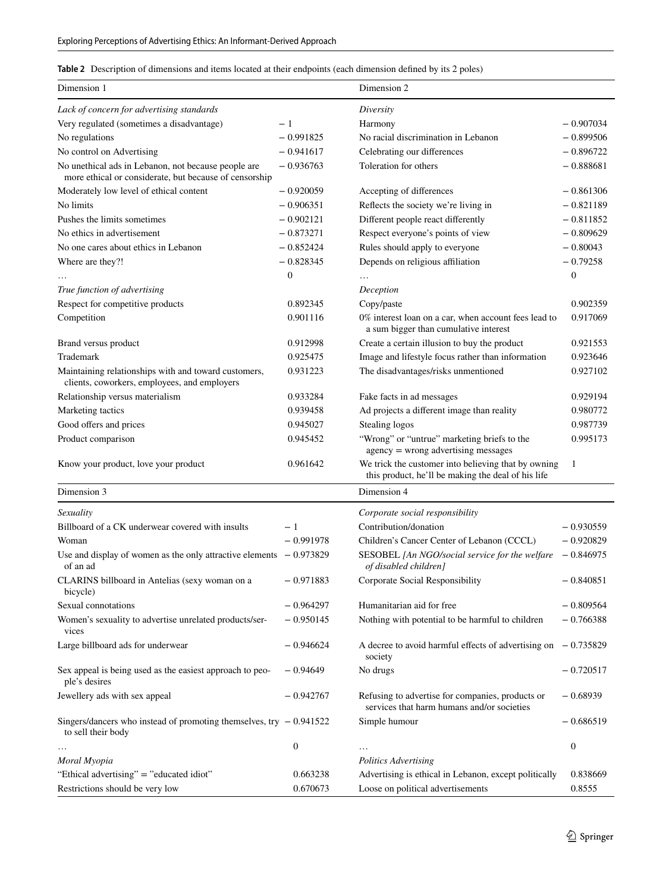<span id="page-8-0"></span>

|  | Table 2 Description of dimensions and items located at their endpoints (each dimension defined by its 2 poles) |  |  |  |  |  |  |  |  |  |  |  |  |
|--|----------------------------------------------------------------------------------------------------------------|--|--|--|--|--|--|--|--|--|--|--|--|
|--|----------------------------------------------------------------------------------------------------------------|--|--|--|--|--|--|--|--|--|--|--|--|

| Dimension 1                                                                                                   |                  | Dimension 2                                                                                               |                  |
|---------------------------------------------------------------------------------------------------------------|------------------|-----------------------------------------------------------------------------------------------------------|------------------|
| Lack of concern for advertising standards                                                                     |                  | Diversity                                                                                                 |                  |
| Very regulated (sometimes a disadvantage)                                                                     | - 1              | Harmony                                                                                                   | $-0.907034$      |
| No regulations                                                                                                | $-0.991825$      | No racial discrimination in Lebanon                                                                       | $-0.899506$      |
| No control on Advertising                                                                                     | $-0.941617$      | Celebrating our differences                                                                               | $-0.896722$      |
| No unethical ads in Lebanon, not because people are<br>more ethical or considerate, but because of censorship | $-0.936763$      | Toleration for others                                                                                     | $-0.888681$      |
| Moderately low level of ethical content                                                                       | $-0.920059$      | Accepting of differences                                                                                  | $-0.861306$      |
| No limits                                                                                                     | $-0.906351$      | Reflects the society we're living in                                                                      | $-0.821189$      |
| Pushes the limits sometimes                                                                                   | $-0.902121$      | Different people react differently                                                                        | $-0.811852$      |
| No ethics in advertisement                                                                                    | $-0.873271$      | Respect everyone's points of view                                                                         | $-0.809629$      |
| No one cares about ethics in Lebanon                                                                          | $-0.852424$      | Rules should apply to everyone                                                                            | $-0.80043$       |
| Where are they?!                                                                                              | $-0.828345$      | Depends on religious affiliation                                                                          | $-0.79258$       |
|                                                                                                               | $\boldsymbol{0}$ |                                                                                                           | $\boldsymbol{0}$ |
| True function of advertising                                                                                  |                  | Deception                                                                                                 |                  |
| Respect for competitive products                                                                              | 0.892345         | Copy/paste                                                                                                | 0.902359         |
| Competition                                                                                                   | 0.901116         | 0% interest loan on a car, when account fees lead to<br>a sum bigger than cumulative interest             | 0.917069         |
| Brand versus product                                                                                          | 0.912998         | Create a certain illusion to buy the product                                                              | 0.921553         |
| Trademark                                                                                                     | 0.925475         | Image and lifestyle focus rather than information                                                         | 0.923646         |
| Maintaining relationships with and toward customers,<br>clients, coworkers, employees, and employers          | 0.931223         | The disadvantages/risks unmentioned                                                                       | 0.927102         |
| Relationship versus materialism                                                                               | 0.933284         | Fake facts in ad messages                                                                                 | 0.929194         |
| Marketing tactics                                                                                             | 0.939458         | Ad projects a different image than reality                                                                | 0.980772         |
| Good offers and prices                                                                                        | 0.945027         | Stealing logos                                                                                            | 0.987739         |
| Product comparison                                                                                            | 0.945452         | "Wrong" or "untrue" marketing briefs to the<br>$agency = wrong$ advertising messages                      | 0.995173         |
| Know your product, love your product                                                                          | 0.961642         | We trick the customer into believing that by owning<br>this product, he'll be making the deal of his life | $\mathbf{1}$     |
| Dimension 3                                                                                                   |                  | Dimension 4                                                                                               |                  |
| Sexuality                                                                                                     |                  | Corporate social responsibility                                                                           |                  |
| Billboard of a CK underwear covered with insults                                                              | - 1              | Contribution/donation                                                                                     | - 0.930559       |
| Woman                                                                                                         | $-0.991978$      | Children's Cancer Center of Lebanon (CCCL)                                                                | $-0.920829$      |
| Use and display of women as the only attractive elements $-0.973829$<br>of an ad                              |                  | SESOBEL [An NGO/social service for the welfare<br>of disabled children]                                   | $-0.846975$      |
| CLARINS billboard in Antelias (sexy woman on a<br>bicycle)                                                    | $-0.971883$      | Corporate Social Responsibility                                                                           | $-0.840851$      |
| Sexual connotations                                                                                           | $-0.964297$      | Humanitarian aid for free                                                                                 | $-0.809564$      |
| Women's sexuality to advertise unrelated products/ser-<br>vices                                               | $-0.950145$      | Nothing with potential to be harmful to children                                                          | $-0.766388$      |
| Large billboard ads for underwear                                                                             | $-0.946624$      | A decree to avoid harmful effects of advertising on<br>society                                            | $-0.735829$      |
| Sex appeal is being used as the easiest approach to peo-<br>ple's desires                                     | $-0.94649$       | No drugs                                                                                                  | $-0.720517$      |
| Jewellery ads with sex appeal                                                                                 | $-0.942767$      | Refusing to advertise for companies, products or<br>services that harm humans and/or societies            | $-0.68939$       |
| Singers/dancers who instead of promoting themselves, try $-0.941522$<br>to sell their body                    |                  | Simple humour                                                                                             | $-0.686519$      |
|                                                                                                               | $\boldsymbol{0}$ | .                                                                                                         | $\mathbf{0}$     |
| Moral Myopia                                                                                                  |                  | Politics Advertising                                                                                      |                  |
| "Ethical advertising" = "educated idiot"                                                                      | 0.663238         | Advertising is ethical in Lebanon, except politically                                                     | 0.838669         |
| Restrictions should be very low                                                                               | 0.670673         | Loose on political advertisements                                                                         | 0.8555           |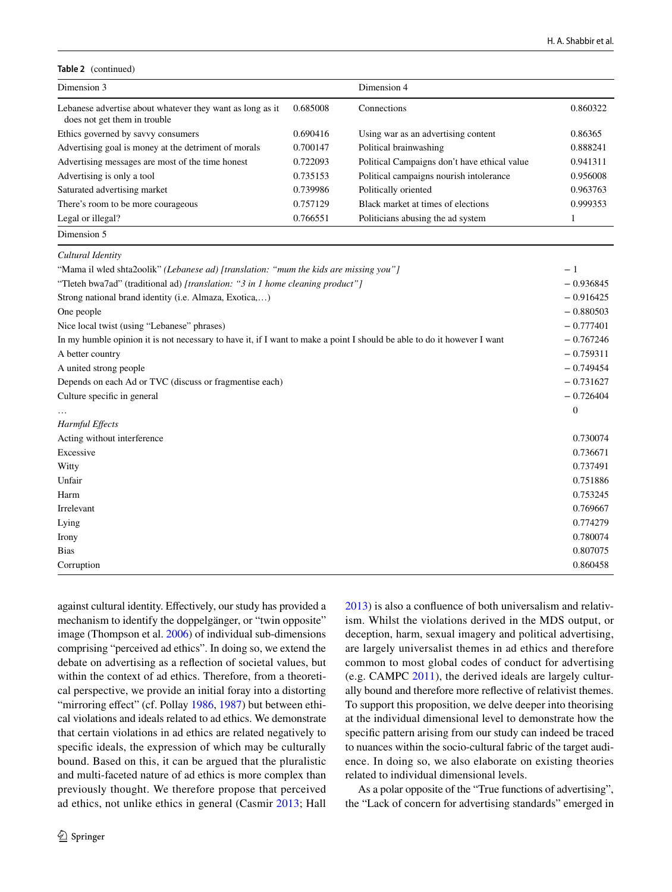#### **Table 2** (continued)

| Dimension 3                                                                               | Dimension 4 |                                              |          |  |
|-------------------------------------------------------------------------------------------|-------------|----------------------------------------------|----------|--|
| Lebanese advertise about whatever they want as long as it<br>does not get them in trouble | 0.685008    | Connections                                  | 0.860322 |  |
| Ethics governed by savvy consumers                                                        | 0.690416    | Using war as an advertising content          | 0.86365  |  |
| Advertising goal is money at the detriment of morals                                      | 0.700147    | Political brainwashing                       | 0.888241 |  |
| Advertising messages are most of the time honest                                          | 0.722093    | Political Campaigns don't have ethical value | 0.941311 |  |
| Advertising is only a tool                                                                | 0.735153    | Political campaigns nourish intolerance      | 0.956008 |  |
| Saturated advertising market                                                              | 0.739986    | Politically oriented                         | 0.963763 |  |
| There's room to be more courageous                                                        | 0.757129    | Black market at times of elections           | 0.999353 |  |
| Legal or illegal?                                                                         | 0.766551    | Politicians abusing the ad system            |          |  |

| Dimension 5 |
|-------------|
|-------------|

*Cultural Identity*

| "Mama il wled shta2oolik" (Lebanese ad) [translation: "mum the kids are missing you"]                                   | $-1$        |
|-------------------------------------------------------------------------------------------------------------------------|-------------|
| "Tleteh bwa7ad" (traditional ad) [translation: "3 in 1 home cleaning product"]                                          | $-0.936845$ |
| Strong national brand identity (i.e. Almaza, Exotica,)                                                                  | $-0.916425$ |
| One people                                                                                                              | $-0.880503$ |
| Nice local twist (using "Lebanese" phrases)                                                                             | $-0.777401$ |
| In my humble opinion it is not necessary to have it, if I want to make a point I should be able to do it however I want | $-0.767246$ |
| A better country                                                                                                        | $-0.759311$ |
| A united strong people                                                                                                  | $-0.749454$ |
| Depends on each Ad or TVC (discuss or fragmentise each)                                                                 | $-0.731627$ |
| Culture specific in general                                                                                             | $-0.726404$ |
|                                                                                                                         | $\theta$    |
| <b>Harmful Effects</b>                                                                                                  |             |
| Acting without interference                                                                                             | 0.730074    |
| Excessive                                                                                                               | 0.736671    |
| Witty                                                                                                                   | 0.737491    |
| Unfair                                                                                                                  | 0.751886    |
| Harm                                                                                                                    | 0.753245    |
| Irrelevant                                                                                                              | 0.769667    |
| Lying                                                                                                                   | 0.774279    |
| Irony                                                                                                                   | 0.780074    |
| <b>Bias</b>                                                                                                             | 0.807075    |
| Corruption                                                                                                              | 0.860458    |

against cultural identity. Efectively, our study has provided a mechanism to identify the doppelgänger, or "twin opposite" image (Thompson et al. [2006](#page-17-6)) of individual sub-dimensions comprising "perceived ad ethics". In doing so, we extend the debate on advertising as a refection of societal values, but within the context of ad ethics. Therefore, from a theoretical perspective, we provide an initial foray into a distorting "mirroring effect" (cf. Pollay [1986](#page-16-2), [1987](#page-16-3)) but between ethical violations and ideals related to ad ethics. We demonstrate that certain violations in ad ethics are related negatively to specifc ideals, the expression of which may be culturally bound. Based on this, it can be argued that the pluralistic and multi-faceted nature of ad ethics is more complex than previously thought. We therefore propose that perceived ad ethics, not unlike ethics in general (Casmir [2013;](#page-14-6) Hall [2013](#page-15-14)) is also a confuence of both universalism and relativism. Whilst the violations derived in the MDS output, or deception, harm, sexual imagery and political advertising, are largely universalist themes in ad ethics and therefore common to most global codes of conduct for advertising (e.g. CAMPC [2011](#page-14-30)), the derived ideals are largely culturally bound and therefore more refective of relativist themes. To support this proposition, we delve deeper into theorising at the individual dimensional level to demonstrate how the specifc pattern arising from our study can indeed be traced to nuances within the socio-cultural fabric of the target audience. In doing so, we also elaborate on existing theories related to individual dimensional levels.

As a polar opposite of the "True functions of advertising", the "Lack of concern for advertising standards" emerged in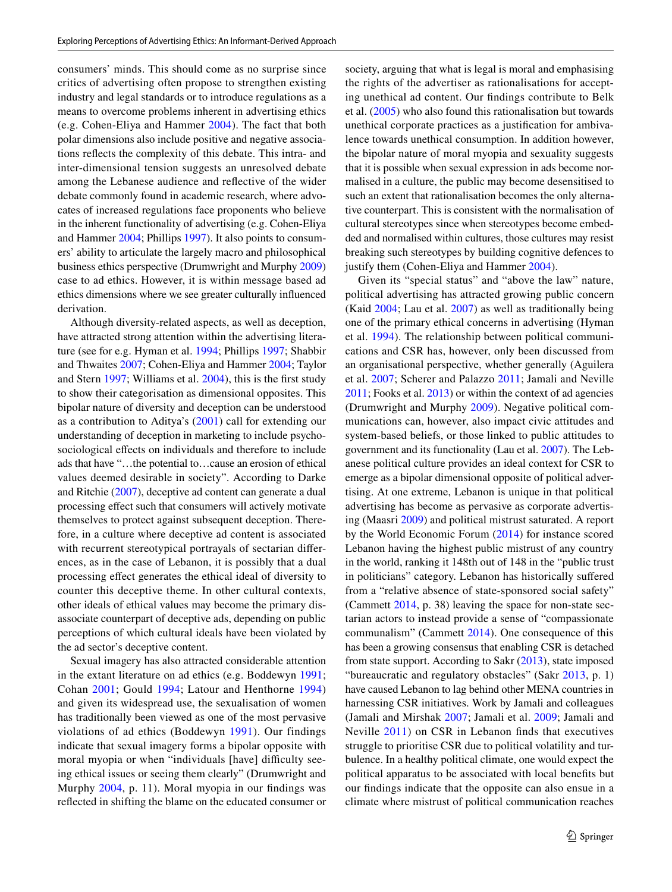consumers' minds. This should come as no surprise since critics of advertising often propose to strengthen existing industry and legal standards or to introduce regulations as a means to overcome problems inherent in advertising ethics (e.g. Cohen-Eliya and Hammer [2004](#page-14-31)). The fact that both polar dimensions also include positive and negative associations refects the complexity of this debate. This intra- and inter-dimensional tension suggests an unresolved debate among the Lebanese audience and refective of the wider debate commonly found in academic research, where advocates of increased regulations face proponents who believe in the inherent functionality of advertising (e.g. Cohen-Eliya and Hammer [2004](#page-14-31); Phillips [1997](#page-16-41)). It also points to consumers' ability to articulate the largely macro and philosophical business ethics perspective (Drumwright and Murphy [2009\)](#page-15-3) case to ad ethics. However, it is within message based ad ethics dimensions where we see greater culturally infuenced derivation.

Although diversity-related aspects, as well as deception, have attracted strong attention within the advertising literature (see for e.g. Hyman et al. [1994](#page-15-0); Phillips [1997](#page-16-41); Shabbir and Thwaites [2007](#page-16-0); Cohen-Eliya and Hammer [2004](#page-14-31); Taylor and Stern [1997](#page-16-42); Williams et al. [2004](#page-17-7)), this is the frst study to show their categorisation as dimensional opposites. This bipolar nature of diversity and deception can be understood as a contribution to Aditya's ([2001](#page-14-32)) call for extending our understanding of deception in marketing to include psychosociological effects on individuals and therefore to include ads that have "…the potential to…cause an erosion of ethical values deemed desirable in society". According to Darke and Ritchie ([2007\)](#page-14-33), deceptive ad content can generate a dual processing efect such that consumers will actively motivate themselves to protect against subsequent deception. Therefore, in a culture where deceptive ad content is associated with recurrent stereotypical portrayals of sectarian diferences, as in the case of Lebanon, it is possibly that a dual processing efect generates the ethical ideal of diversity to counter this deceptive theme. In other cultural contexts, other ideals of ethical values may become the primary disassociate counterpart of deceptive ads, depending on public perceptions of which cultural ideals have been violated by the ad sector's deceptive content.

Sexual imagery has also attracted considerable attention in the extant literature on ad ethics (e.g. Boddewyn [1991](#page-14-10); Cohan [2001;](#page-14-34) Gould [1994;](#page-15-4) Latour and Henthorne [1994\)](#page-15-38) and given its widespread use, the sexualisation of women has traditionally been viewed as one of the most pervasive violations of ad ethics (Boddewyn [1991\)](#page-14-10). Our findings indicate that sexual imagery forms a bipolar opposite with moral myopia or when "individuals [have] difficulty seeing ethical issues or seeing them clearly" (Drumwright and Murphy [2004](#page-15-9), p. 11). Moral myopia in our fndings was refected in shifting the blame on the educated consumer or society, arguing that what is legal is moral and emphasising the rights of the advertiser as rationalisations for accepting unethical ad content. Our fndings contribute to Belk et al. [\(2005](#page-14-7)) who also found this rationalisation but towards unethical corporate practices as a justifcation for ambivalence towards unethical consumption. In addition however, the bipolar nature of moral myopia and sexuality suggests that it is possible when sexual expression in ads become normalised in a culture, the public may become desensitised to such an extent that rationalisation becomes the only alternative counterpart. This is consistent with the normalisation of cultural stereotypes since when stereotypes become embedded and normalised within cultures, those cultures may resist breaking such stereotypes by building cognitive defences to justify them (Cohen-Eliya and Hammer [2004\)](#page-14-31).

Given its "special status" and "above the law" nature, political advertising has attracted growing public concern (Kaid [2004](#page-15-39); Lau et al. [2007](#page-15-40)) as well as traditionally being one of the primary ethical concerns in advertising (Hyman et al. [1994\)](#page-15-0). The relationship between political communications and CSR has, however, only been discussed from an organisational perspective, whether generally (Aguilera et al. [2007;](#page-14-35) Scherer and Palazzo [2011;](#page-16-43) Jamali and Neville [2011](#page-15-41); Fooks et al. [2013\)](#page-15-42) or within the context of ad agencies (Drumwright and Murphy [2009\)](#page-15-3). Negative political communications can, however, also impact civic attitudes and system-based beliefs, or those linked to public attitudes to government and its functionality (Lau et al. [2007\)](#page-15-40). The Lebanese political culture provides an ideal context for CSR to emerge as a bipolar dimensional opposite of political advertising. At one extreme, Lebanon is unique in that political advertising has become as pervasive as corporate advertising (Maasri [2009\)](#page-16-44) and political mistrust saturated. A report by the World Economic Forum [\(2014\)](#page-17-8) for instance scored Lebanon having the highest public mistrust of any country in the world, ranking it 148th out of 148 in the "public trust in politicians" category. Lebanon has historically sufered from a "relative absence of state-sponsored social safety" (Cammett [2014](#page-14-36), p. 38) leaving the space for non-state sectarian actors to instead provide a sense of "compassionate communalism" (Cammett [2014\)](#page-14-36). One consequence of this has been a growing consensus that enabling CSR is detached from state support. According to Sakr ([2013\)](#page-16-45), state imposed "bureaucratic and regulatory obstacles" (Sakr [2013](#page-16-45), p. 1) have caused Lebanon to lag behind other MENA countries in harnessing CSR initiatives. Work by Jamali and colleagues (Jamali and Mirshak [2007;](#page-15-43) Jamali et al. [2009](#page-15-44); Jamali and Neville [2011](#page-15-41)) on CSR in Lebanon fnds that executives struggle to prioritise CSR due to political volatility and turbulence. In a healthy political climate, one would expect the political apparatus to be associated with local benefts but our fndings indicate that the opposite can also ensue in a climate where mistrust of political communication reaches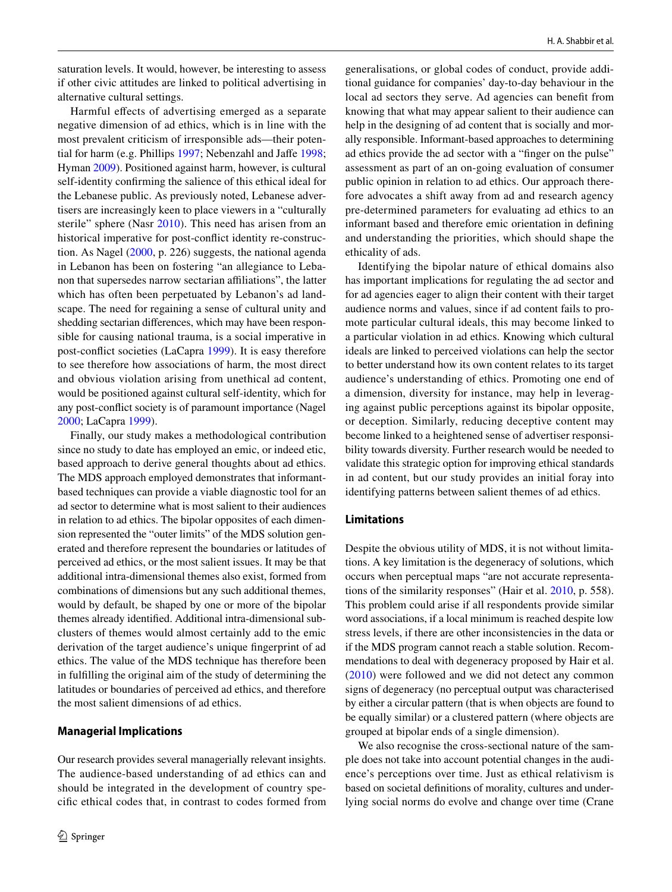saturation levels. It would, however, be interesting to assess if other civic attitudes are linked to political advertising in alternative cultural settings.

Harmful efects of advertising emerged as a separate negative dimension of ad ethics, which is in line with the most prevalent criticism of irresponsible ads—their potential for harm (e.g. Phillips [1997](#page-16-41); Nebenzahl and Jafe [1998](#page-16-46); Hyman [2009\)](#page-15-11). Positioned against harm, however, is cultural self-identity confrming the salience of this ethical ideal for the Lebanese public. As previously noted, Lebanese advertisers are increasingly keen to place viewers in a "culturally sterile" sphere (Nasr [2010\)](#page-16-33). This need has arisen from an historical imperative for post-confict identity re-construction. As Nagel [\(2000](#page-16-47), p. 226) suggests, the national agenda in Lebanon has been on fostering "an allegiance to Lebanon that supersedes narrow sectarian afliations", the latter which has often been perpetuated by Lebanon's ad landscape. The need for regaining a sense of cultural unity and shedding sectarian diferences, which may have been responsible for causing national trauma, is a social imperative in post-confict societies (LaCapra [1999](#page-15-45)). It is easy therefore to see therefore how associations of harm, the most direct and obvious violation arising from unethical ad content, would be positioned against cultural self-identity, which for any post-confict society is of paramount importance (Nagel [2000](#page-16-47); LaCapra [1999\)](#page-15-45).

Finally, our study makes a methodological contribution since no study to date has employed an emic, or indeed etic, based approach to derive general thoughts about ad ethics. The MDS approach employed demonstrates that informantbased techniques can provide a viable diagnostic tool for an ad sector to determine what is most salient to their audiences in relation to ad ethics. The bipolar opposites of each dimension represented the "outer limits" of the MDS solution generated and therefore represent the boundaries or latitudes of perceived ad ethics, or the most salient issues. It may be that additional intra-dimensional themes also exist, formed from combinations of dimensions but any such additional themes, would by default, be shaped by one or more of the bipolar themes already identifed. Additional intra-dimensional subclusters of themes would almost certainly add to the emic derivation of the target audience's unique fngerprint of ad ethics. The value of the MDS technique has therefore been in fulflling the original aim of the study of determining the latitudes or boundaries of perceived ad ethics, and therefore the most salient dimensions of ad ethics.

### **Managerial Implications**

Our research provides several managerially relevant insights. The audience-based understanding of ad ethics can and should be integrated in the development of country specifc ethical codes that, in contrast to codes formed from generalisations, or global codes of conduct, provide additional guidance for companies' day-to-day behaviour in the local ad sectors they serve. Ad agencies can beneft from knowing that what may appear salient to their audience can help in the designing of ad content that is socially and morally responsible. Informant-based approaches to determining ad ethics provide the ad sector with a "fnger on the pulse" assessment as part of an on-going evaluation of consumer public opinion in relation to ad ethics. Our approach therefore advocates a shift away from ad and research agency pre-determined parameters for evaluating ad ethics to an informant based and therefore emic orientation in defning and understanding the priorities, which should shape the ethicality of ads.

Identifying the bipolar nature of ethical domains also has important implications for regulating the ad sector and for ad agencies eager to align their content with their target audience norms and values, since if ad content fails to promote particular cultural ideals, this may become linked to a particular violation in ad ethics. Knowing which cultural ideals are linked to perceived violations can help the sector to better understand how its own content relates to its target audience's understanding of ethics. Promoting one end of a dimension, diversity for instance, may help in leveraging against public perceptions against its bipolar opposite, or deception. Similarly, reducing deceptive content may become linked to a heightened sense of advertiser responsibility towards diversity. Further research would be needed to validate this strategic option for improving ethical standards in ad content, but our study provides an initial foray into identifying patterns between salient themes of ad ethics.

### **Limitations**

Despite the obvious utility of MDS, it is not without limitations. A key limitation is the degeneracy of solutions, which occurs when perceptual maps "are not accurate representations of the similarity responses" (Hair et al. [2010](#page-15-22), p. 558). This problem could arise if all respondents provide similar word associations, if a local minimum is reached despite low stress levels, if there are other inconsistencies in the data or if the MDS program cannot reach a stable solution. Recommendations to deal with degeneracy proposed by Hair et al. ([2010](#page-15-22)) were followed and we did not detect any common signs of degeneracy (no perceptual output was characterised by either a circular pattern (that is when objects are found to be equally similar) or a clustered pattern (where objects are grouped at bipolar ends of a single dimension).

We also recognise the cross-sectional nature of the sample does not take into account potential changes in the audience's perceptions over time. Just as ethical relativism is based on societal defnitions of morality, cultures and underlying social norms do evolve and change over time (Crane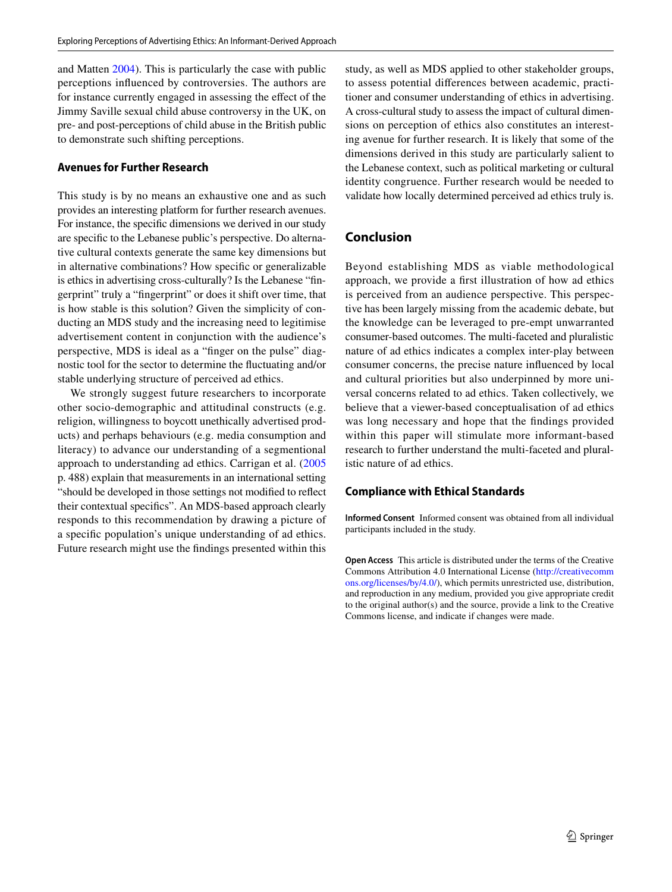and Matten [2004\)](#page-14-16). This is particularly the case with public perceptions infuenced by controversies. The authors are for instance currently engaged in assessing the efect of the Jimmy Saville sexual child abuse controversy in the UK, on pre- and post-perceptions of child abuse in the British public to demonstrate such shifting perceptions.

# **Avenues for Further Research**

This study is by no means an exhaustive one and as such provides an interesting platform for further research avenues. For instance, the specifc dimensions we derived in our study are specifc to the Lebanese public's perspective. Do alternative cultural contexts generate the same key dimensions but in alternative combinations? How specifc or generalizable is ethics in advertising cross-culturally? Is the Lebanese "fngerprint" truly a "fngerprint" or does it shift over time, that is how stable is this solution? Given the simplicity of conducting an MDS study and the increasing need to legitimise advertisement content in conjunction with the audience's perspective, MDS is ideal as a "fnger on the pulse" diagnostic tool for the sector to determine the fuctuating and/or stable underlying structure of perceived ad ethics.

We strongly suggest future researchers to incorporate other socio-demographic and attitudinal constructs (e.g. religion, willingness to boycott unethically advertised products) and perhaps behaviours (e.g. media consumption and literacy) to advance our understanding of a segmentional approach to understanding ad ethics. Carrigan et al. ([2005](#page-14-37) p. 488) explain that measurements in an international setting "should be developed in those settings not modifed to refect their contextual specifcs". An MDS-based approach clearly responds to this recommendation by drawing a picture of a specifc population's unique understanding of ad ethics. Future research might use the fndings presented within this study, as well as MDS applied to other stakeholder groups, to assess potential diferences between academic, practitioner and consumer understanding of ethics in advertising. A cross-cultural study to assess the impact of cultural dimensions on perception of ethics also constitutes an interesting avenue for further research. It is likely that some of the dimensions derived in this study are particularly salient to the Lebanese context, such as political marketing or cultural identity congruence. Further research would be needed to validate how locally determined perceived ad ethics truly is.

# **Conclusion**

Beyond establishing MDS as viable methodological approach, we provide a frst illustration of how ad ethics is perceived from an audience perspective. This perspective has been largely missing from the academic debate, but the knowledge can be leveraged to pre-empt unwarranted consumer-based outcomes. The multi-faceted and pluralistic nature of ad ethics indicates a complex inter-play between consumer concerns, the precise nature infuenced by local and cultural priorities but also underpinned by more universal concerns related to ad ethics. Taken collectively, we believe that a viewer-based conceptualisation of ad ethics was long necessary and hope that the fndings provided within this paper will stimulate more informant-based research to further understand the multi-faceted and pluralistic nature of ad ethics.

# **Compliance with Ethical Standards**

**Informed Consent** Informed consent was obtained from all individual participants included in the study.

**Open Access** This article is distributed under the terms of the Creative Commons Attribution 4.0 International License [\(http://creativecomm](http://creativecommons.org/licenses/by/4.0/) [ons.org/licenses/by/4.0/](http://creativecommons.org/licenses/by/4.0/)), which permits unrestricted use, distribution, and reproduction in any medium, provided you give appropriate credit to the original author(s) and the source, provide a link to the Creative Commons license, and indicate if changes were made.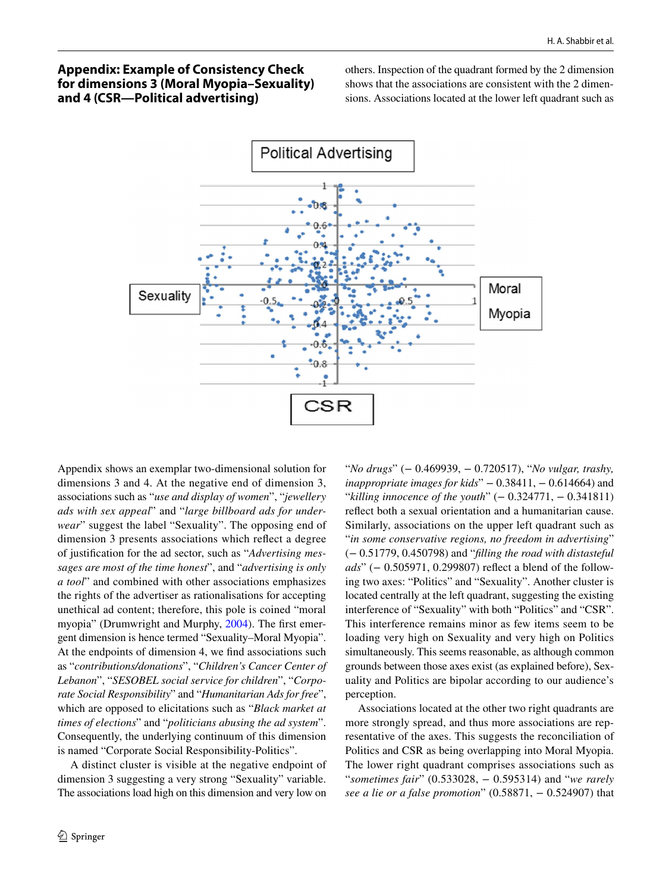# <span id="page-13-0"></span>**Appendix: Example of Consistency Check for dimensions 3 (Moral Myopia–Sexuality) and 4 (CSR—Political advertising)**

others. Inspection of the quadrant formed by the 2 dimension shows that the associations are consistent with the 2 dimensions. Associations located at the lower left quadrant such as



Appendix shows an exemplar two-dimensional solution for dimensions 3 and 4. At the negative end of dimension 3, associations such as "*use and display of women*", "*jewellery ads with sex appeal*" and "*large billboard ads for underwear*" suggest the label "Sexuality". The opposing end of dimension 3 presents associations which refect a degree of justifcation for the ad sector, such as "*Advertising messages are most of the time honest*", and "*advertising is only a tool*" and combined with other associations emphasizes the rights of the advertiser as rationalisations for accepting unethical ad content; therefore, this pole is coined "moral myopia" (Drumwright and Murphy, [2004\)](#page-15-9). The frst emergent dimension is hence termed "Sexuality–Moral Myopia". At the endpoints of dimension 4, we fnd associations such as "*contributions/donations*", "*Children's Cancer Center of Lebanon*", "*SESOBEL social service for children*", "*Corporate Social Responsibility*" and "*Humanitarian Ads for free*", which are opposed to elicitations such as "*Black market at times of elections*" and "*politicians abusing the ad system*". Consequently, the underlying continuum of this dimension is named "Corporate Social Responsibility-Politics".

A distinct cluster is visible at the negative endpoint of dimension 3 suggesting a very strong "Sexuality" variable. The associations load high on this dimension and very low on

"*No drugs*" (− 0.469939, − 0.720517), "*No vulgar, trashy, inappropriate images for kids*" − 0.38411, − 0.614664) and "*killing innocence of the youth*" (− 0.324771, − 0.341811) refect both a sexual orientation and a humanitarian cause. Similarly, associations on the upper left quadrant such as "*in some conservative regions, no freedom in advertising*" (− 0.51779, 0.450798) and "*flling the road with distasteful ads*" (− 0.505971, 0.299807) reflect a blend of the following two axes: "Politics" and "Sexuality". Another cluster is located centrally at the left quadrant, suggesting the existing interference of "Sexuality" with both "Politics" and "CSR". This interference remains minor as few items seem to be loading very high on Sexuality and very high on Politics simultaneously. This seems reasonable, as although common grounds between those axes exist (as explained before), Sexuality and Politics are bipolar according to our audience's perception.

Associations located at the other two right quadrants are more strongly spread, and thus more associations are representative of the axes. This suggests the reconciliation of Politics and CSR as being overlapping into Moral Myopia. The lower right quadrant comprises associations such as "*sometimes fair*" (0.533028, − 0.595314) and "*we rarely see a lie or a false promotion*" (0.58871, − 0.524907) that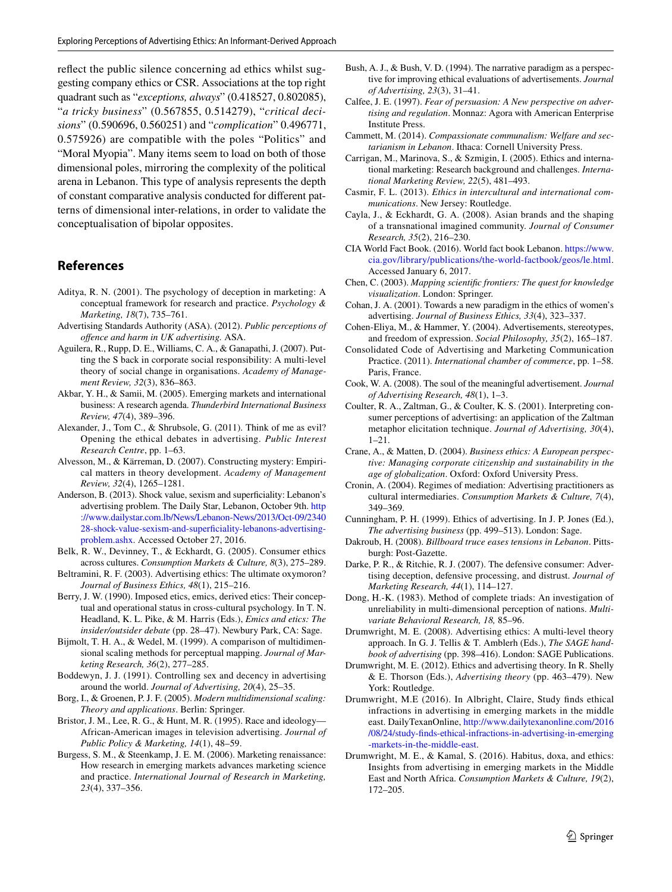refect the public silence concerning ad ethics whilst suggesting company ethics or CSR. Associations at the top right quadrant such as "*exceptions, always*" (0.418527, 0.802085), "*a tricky business*" (0.567855, 0.514279), "*critical decisions*" (0.590696, 0.560251) and "*complication*" 0.496771, 0.575926) are compatible with the poles "Politics" and "Moral Myopia". Many items seem to load on both of those dimensional poles, mirroring the complexity of the political arena in Lebanon. This type of analysis represents the depth of constant comparative analysis conducted for diferent patterns of dimensional inter-relations, in order to validate the conceptualisation of bipolar opposites.

# **References**

- <span id="page-14-32"></span>Aditya, R. N. (2001). The psychology of deception in marketing: A conceptual framework for research and practice. *Psychology & Marketing, 18*(7), 735–761.
- <span id="page-14-17"></span>Advertising Standards Authority (ASA). (2012). *Public perceptions of ofence and harm in UK advertising.* ASA.
- <span id="page-14-35"></span>Aguilera, R., Rupp, D. E., Williams, C. A., & Ganapathi, J. (2007). Putting the S back in corporate social responsibility: A multi-level theory of social change in organisations. *Academy of Management Review, 32*(3), 836–863.
- <span id="page-14-22"></span>Akbar, Y. H., & Samii, M. (2005). Emerging markets and international business: A research agenda. *Thunderbird International Business Review, 47*(4), 389–396.
- <span id="page-14-12"></span>Alexander, J., Tom C., & Shrubsole, G. (2011). Think of me as evil? Opening the ethical debates in advertising. *Public Interest Research Centre*, pp. 1–63.
- <span id="page-14-19"></span>Alvesson, M., & Kärreman, D. (2007). Constructing mystery: Empirical matters in theory development. *Academy of Management Review, 32*(4), 1265–1281.
- <span id="page-14-25"></span>Anderson, B. (2013). Shock value, sexism and superficiality: Lebanon's advertising problem. The Daily Star, Lebanon, October 9th. [http](http://www.dailystar.com.lb/News/Lebanon-News/2013/Oct-09/234028-shock-value-sexism-and-superficiality-lebanons-advertising-problem.ashx) [://www.dailystar.com.lb/News/Lebanon-News/2013/Oct-09/2340](http://www.dailystar.com.lb/News/Lebanon-News/2013/Oct-09/234028-shock-value-sexism-and-superficiality-lebanons-advertising-problem.ashx) [28-shock-value-sexism-and-superfciality-lebanons-advertising](http://www.dailystar.com.lb/News/Lebanon-News/2013/Oct-09/234028-shock-value-sexism-and-superficiality-lebanons-advertising-problem.ashx)[problem.ashx.](http://www.dailystar.com.lb/News/Lebanon-News/2013/Oct-09/234028-shock-value-sexism-and-superficiality-lebanons-advertising-problem.ashx) Accessed October 27, 2016.
- <span id="page-14-7"></span>Belk, R. W., Devinney, T., & Eckhardt, G. (2005). Consumer ethics across cultures. *Consumption Markets & Culture, 8*(3), 275–289.
- <span id="page-14-2"></span>Beltramini, R. F. (2003). Advertising ethics: The ultimate oxymoron? *Journal of Business Ethics, 48*(1), 215–216.
- <span id="page-14-15"></span>Berry, J. W. (1990). Imposed etics, emics, derived etics: Their conceptual and operational status in cross-cultural psychology. In T. N. Headland, K. L. Pike, & M. Harris (Eds.), *Emics and etics: The insider/outsider debate* (pp. 28–47). Newbury Park, CA: Sage.
- <span id="page-14-28"></span>Bijmolt, T. H. A., & Wedel, M. (1999). A comparison of multidimensional scaling methods for perceptual mapping. *Journal of Marketing Research, 36*(2), 277–285.
- <span id="page-14-10"></span>Boddewyn, J. J. (1991). Controlling sex and decency in advertising around the world. *Journal of Advertising, 20*(4), 25–35.
- <span id="page-14-20"></span>Borg, I., & Groenen, P. J. F. (2005). *Modern multidimensional scaling: Theory and applications*. Berlin: Springer.
- <span id="page-14-11"></span>Bristor, J. M., Lee, R. G., & Hunt, M. R. (1995). Race and ideology— African-American images in television advertising. *Journal of Public Policy & Marketing, 14*(1), 48–59.
- <span id="page-14-21"></span>Burgess, S. M., & Steenkamp, J. E. M. (2006). Marketing renaissance: How research in emerging markets advances marketing science and practice. *International Journal of Research in Marketing, 23*(4), 337–356.
- <span id="page-14-4"></span>Bush, A. J., & Bush, V. D. (1994). The narrative paradigm as a perspective for improving ethical evaluations of advertisements. *Journal of Advertising, 23*(3), 31–41.
- <span id="page-14-1"></span>Calfee, J. E. (1997). *Fear of persuasion: A New perspective on advertising and regulation*. Monnaz: Agora with American Enterprise Institute Press.
- <span id="page-14-36"></span>Cammett, M. (2014). *Compassionate communalism: Welfare and sectarianism in Lebanon*. Ithaca: Cornell University Press.
- <span id="page-14-37"></span>Carrigan, M., Marinova, S., & Szmigin, I. (2005). Ethics and international marketing: Research background and challenges. *International Marketing Review, 22*(5), 481–493.
- <span id="page-14-6"></span>Casmir, F. L. (2013). *Ethics in intercultural and international communications*. New Jersey: Routledge.
- <span id="page-14-14"></span>Cayla, J., & Eckhardt, G. A. (2008). Asian brands and the shaping of a transnational imagined community. *Journal of Consumer Research, 35*(2), 216–230.
- <span id="page-14-26"></span>CIA World Fact Book. (2016). World fact book Lebanon. [https://www.](https://www.cia.gov/library/publications/the-world-factbook/geos/le.html) [cia.gov/library/publications/the-world-factbook/geos/le.html](https://www.cia.gov/library/publications/the-world-factbook/geos/le.html). Accessed January 6, 2017.
- <span id="page-14-29"></span>Chen, C. (2003). *Mapping scientifc frontiers: The quest for knowledge visualization*. London: Springer.
- <span id="page-14-34"></span>Cohan, J. A. (2001). Towards a new paradigm in the ethics of women's advertising. *Journal of Business Ethics, 33*(4), 323–337.
- <span id="page-14-31"></span>Cohen-Eliya, M., & Hammer, Y. (2004). Advertisements, stereotypes, and freedom of expression. *Social Philosophy, 35*(2), 165–187.
- <span id="page-14-30"></span>Consolidated Code of Advertising and Marketing Communication Practice. (2011). *International chamber of commerce*, pp. 1–58. Paris, France.
- <span id="page-14-3"></span>Cook, W. A. (2008). The soul of the meaningful advertisement. *Journal of Advertising Research, 48*(1), 1–3.
- <span id="page-14-18"></span>Coulter, R. A., Zaltman, G., & Coulter, K. S. (2001). Interpreting consumer perceptions of advertising: an application of the Zaltman metaphor elicitation technique. *Journal of Advertising, 30*(4), 1–21.
- <span id="page-14-16"></span>Crane, A., & Matten, D. (2004). *Business ethics: A European perspective: Managing corporate citizenship and sustainability in the age of globalization*. Oxford: Oxford University Press.
- <span id="page-14-13"></span>Cronin, A. (2004). Regimes of mediation: Advertising practitioners as cultural intermediaries. *Consumption Markets & Culture, 7*(4), 349–369.
- <span id="page-14-8"></span>Cunningham, P. H. (1999). Ethics of advertising. In J. P. Jones (Ed.), *The advertising business* (pp. 499–513). London: Sage.
- <span id="page-14-24"></span>Dakroub, H. (2008). *Billboard truce eases tensions in Lebanon*. Pittsburgh: Post-Gazette.
- <span id="page-14-33"></span>Darke, P. R., & Ritchie, R. J. (2007). The defensive consumer: Advertising deception, defensive processing, and distrust. *Journal of Marketing Research, 44*(1), 114–127.
- <span id="page-14-27"></span>Dong, H.-K. (1983). Method of complete triads: An investigation of unreliability in multi-dimensional perception of nations. *Multivariate Behavioral Research, 18,* 85–96.
- <span id="page-14-0"></span>Drumwright, M. E. (2008). Advertising ethics: A multi-level theory approach. In G. J. Tellis & T. Amblerh (Eds.), *The SAGE handbook of advertising* (pp. 398–416). London: SAGE Publications.
- <span id="page-14-9"></span>Drumwright, M. E. (2012). Ethics and advertising theory. In R. Shelly & E. Thorson (Eds.), *Advertising theory* (pp. 463–479). New York: Routledge.
- <span id="page-14-23"></span>Drumwright, M.E (2016). In Albright, Claire, Study fnds ethical infractions in advertising in emerging markets in the middle east. DailyTexanOnline, [http://www.dailytexanonline.com/2016](http://www.dailytexanonline.com/2016/08/24/study-finds-ethical-infractions-in-advertising-in-emerging-markets-in-the-middle-east) [/08/24/study-fnds-ethical-infractions-in-advertising-in-emerging](http://www.dailytexanonline.com/2016/08/24/study-finds-ethical-infractions-in-advertising-in-emerging-markets-in-the-middle-east) [-markets-in-the-middle-east](http://www.dailytexanonline.com/2016/08/24/study-finds-ethical-infractions-in-advertising-in-emerging-markets-in-the-middle-east).
- <span id="page-14-5"></span>Drumwright, M. E., & Kamal, S. (2016). Habitus, doxa, and ethics: Insights from advertising in emerging markets in the Middle East and North Africa. *Consumption Markets & Culture, 19*(2), 172–205.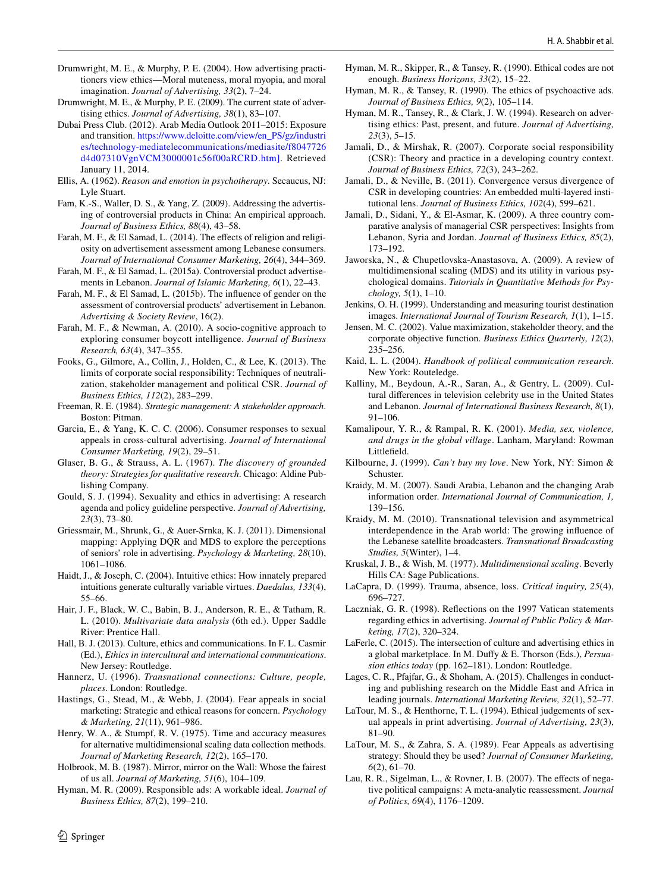- <span id="page-15-9"></span>Drumwright, M. E., & Murphy, P. E. (2004). How advertising practitioners view ethics—Moral muteness, moral myopia, and moral imagination. *Journal of Advertising, 33*(2), 7–24.
- <span id="page-15-3"></span>Drumwright, M. E., & Murphy, P. E. (2009). The current state of advertising ethics. *Journal of Advertising, 38*(1), 83–107.
- <span id="page-15-25"></span>Dubai Press Club. (2012). Arab Media Outlook 2011–2015: Exposure and transition. [https://www.deloitte.com/view/en\\_PS/gz/industri](https://www.deloitte.com/view/en_PS/gz/industries/technology-mediatelecommunications/mediasite/f8047726d4d07310VgnVCM3000001c56f00aRCRD.htm%5d) [es/technology-mediatelecommunications/mediasite/f8047726](https://www.deloitte.com/view/en_PS/gz/industries/technology-mediatelecommunications/mediasite/f8047726d4d07310VgnVCM3000001c56f00aRCRD.htm%5d) [d4d07310VgnVCM3000001c56f00aRCRD.htm\].](https://www.deloitte.com/view/en_PS/gz/industries/technology-mediatelecommunications/mediasite/f8047726d4d07310VgnVCM3000001c56f00aRCRD.htm%5d) Retrieved January 11, 2014.
- <span id="page-15-21"></span>Ellis, A. (1962). *Reason and emotion in psychotherapy*. Secaucus, NJ: Lyle Stuart.
- <span id="page-15-2"></span>Fam, K.-S., Waller, D. S., & Yang, Z. (2009). Addressing the advertising of controversial products in China: An empirical approach. *Journal of Business Ethics, 88*(4), 43–58.
- <span id="page-15-29"></span>Farah, M. F., & El Samad, L. (2014). The efects of religion and religiosity on advertisement assessment among Lebanese consumers. *Journal of International Consumer Marketing, 26*(4), 344–369.
- <span id="page-15-28"></span>Farah, M. F., & El Samad, L. (2015a). Controversial product advertisements in Lebanon. *Journal of Islamic Marketing, 6*(1), 22–43.
- <span id="page-15-30"></span>Farah, M. F., & El Samad, L. (2015b). The infuence of gender on the assessment of controversial products' advertisement in Lebanon. *Advertising & Society Review*, 16(2).
- <span id="page-15-32"></span>Farah, M. F., & Newman, A. (2010). A socio-cognitive approach to exploring consumer boycott intelligence. *Journal of Business Research, 63*(4), 347–355.
- <span id="page-15-42"></span>Fooks, G., Gilmore, A., Collin, J., Holden, C., & Lee, K. (2013). The limits of corporate social responsibility: Techniques of neutralization, stakeholder management and political CSR. *Journal of Business Ethics, 112*(2), 283–299.
- <span id="page-15-17"></span>Freeman, R. E. (1984). *Strategic management: A stakeholder approach*. Boston: Pitman.
- <span id="page-15-16"></span>Garcia, E., & Yang, K. C. C. (2006). Consumer responses to sexual appeals in cross-cultural advertising. *Journal of International Consumer Marketing, 19*(2), 29–51.
- <span id="page-15-37"></span>Glaser, B. G., & Strauss, A. L. (1967). *The discovery of grounded theory: Strategies for qualitative research*. Chicago: Aldine Publishing Company.
- <span id="page-15-4"></span>Gould, S. J. (1994). Sexuality and ethics in advertising: A research agenda and policy guideline perspective. *Journal of Advertising, 23*(3), 73–80.
- <span id="page-15-20"></span>Griessmair, M., Shrunk, G., & Auer-Srnka, K. J. (2011). Dimensional mapping: Applying DQR and MDS to explore the perceptions of seniors' role in advertising. *Psychology & Marketing, 28*(10), 1061–1086.
- <span id="page-15-15"></span>Haidt, J., & Joseph, C. (2004). Intuitive ethics: How innately prepared intuitions generate culturally variable virtues. *Daedalus, 133*(4), 55–66.
- <span id="page-15-22"></span>Hair, J. F., Black, W. C., Babin, B. J., Anderson, R. E., & Tatham, R. L. (2010). *Multivariate data analysis* (6th ed.). Upper Saddle River: Prentice Hall.
- <span id="page-15-14"></span>Hall, B. J. (2013). Culture, ethics and communications. In F. L. Casmir (Ed.), *Ethics in intercultural and international communications*. New Jersey: Routledge.
- <span id="page-15-33"></span>Hannerz, U. (1996). *Transnational connections: Culture, people, places*. London: Routledge.
- <span id="page-15-6"></span>Hastings, G., Stead, M., & Webb, J. (2004). Fear appeals in social marketing: Strategic and ethical reasons for concern. *Psychology & Marketing, 21*(11), 961–986.
- <span id="page-15-35"></span>Henry, W. A., & Stumpf, R. V. (1975). Time and accuracy measures for alternative multidimensional scaling data collection methods. *Journal of Marketing Research, 12*(2), 165–170.
- <span id="page-15-12"></span>Holbrook, M. B. (1987). Mirror, mirror on the Wall: Whose the fairest of us all. *Journal of Marketing, 51*(6), 104–109.
- <span id="page-15-11"></span>Hyman, M. R. (2009). Responsible ads: A workable ideal. *Journal of Business Ethics, 87*(2), 199–210.
- $\circled{2}$  Springer
- <span id="page-15-10"></span>Hyman, M. R., Skipper, R., & Tansey, R. (1990). Ethical codes are not enough. *Business Horizons, 33*(2), 15–22.
- <span id="page-15-7"></span>Hyman, M. R., & Tansey, R. (1990). The ethics of psychoactive ads. *Journal of Business Ethics, 9*(2), 105–114.
- <span id="page-15-0"></span>Hyman, M. R., Tansey, R., & Clark, J. W. (1994). Research on advertising ethics: Past, present, and future. *Journal of Advertising, 23*(3), 5–15.
- <span id="page-15-43"></span>Jamali, D., & Mirshak, R. (2007). Corporate social responsibility (CSR): Theory and practice in a developing country context. *Journal of Business Ethics, 72*(3), 243–262.
- <span id="page-15-41"></span>Jamali, D., & Neville, B. (2011). Convergence versus divergence of CSR in developing countries: An embedded multi-layered institutional lens. *Journal of Business Ethics, 102*(4), 599–621.
- <span id="page-15-44"></span>Jamali, D., Sidani, Y., & El-Asmar, K. (2009). A three country comparative analysis of managerial CSR perspectives: Insights from Lebanon, Syria and Jordan. *Journal of Business Ethics, 85*(2), 173–192.
- <span id="page-15-36"></span>Jaworska, N., & Chupetlovska-Anastasova, A. (2009). A review of multidimensional scaling (MDS) and its utility in various psychological domains. *Tutorials in Quantitative Methods for Psychology, 5*(1), 1–10.
- <span id="page-15-19"></span>Jenkins, O. H. (1999). Understanding and measuring tourist destination images. *International Journal of Tourism Research, 1*(1), 1–15.
- <span id="page-15-18"></span>Jensen, M. C. (2002). Value maximization, stakeholder theory, and the corporate objective function. *Business Ethics Quarterly, 12*(2), 235–256.
- <span id="page-15-39"></span>Kaid, L. L. (2004). *Handbook of political communication research*. New York: Routeledge.
- <span id="page-15-23"></span>Kalliny, M., Beydoun, A.-R., Saran, A., & Gentry, L. (2009). Cultural diferences in television celebrity use in the United States and Lebanon. *Journal of International Business Research, 8*(1), 91–106.
- <span id="page-15-31"></span>Kamalipour, Y. R., & Rampal, R. K. (2001). *Media, sex, violence, and drugs in the global village*. Lanham, Maryland: Rowman Littlefeld.
- <span id="page-15-5"></span>Kilbourne, J. (1999). *Can't buy my love*. New York, NY: Simon & Schuster.
- <span id="page-15-26"></span>Kraidy, M. M. (2007). Saudi Arabia, Lebanon and the changing Arab information order. *International Journal of Communication, 1,* 139–156.
- <span id="page-15-27"></span>Kraidy, M. M. (2010). Transnational television and asymmetrical interdependence in the Arab world: The growing infuence of the Lebanese satellite broadcasters. *Transnational Broadcasting Studies, 5*(Winter), 1–4.
- <span id="page-15-34"></span>Kruskal, J. B., & Wish, M. (1977). *Multidimensional scaling*. Beverly Hills CA: Sage Publications.
- <span id="page-15-45"></span>LaCapra, D. (1999). Trauma, absence, loss. *Critical inquiry, 25*(4), 696–727.
- <span id="page-15-1"></span>Laczniak, G. R. (1998). Refections on the 1997 Vatican statements regarding ethics in advertising. *Journal of Public Policy & Marketing, 17*(2), 320–324.
- <span id="page-15-13"></span>LaFerle, C. (2015). The intersection of culture and advertising ethics in a global marketplace. In M. Dufy & E. Thorson (Eds.), *Persuasion ethics today* (pp. 162–181). London: Routledge.
- <span id="page-15-24"></span>Lages, C. R., Pfajfar, G., & Shoham, A. (2015). Challenges in conducting and publishing research on the Middle East and Africa in leading journals. *International Marketing Review, 32*(1), 52–77.
- <span id="page-15-38"></span>LaTour, M. S., & Henthorne, T. L. (1994). Ethical judgements of sexual appeals in print advertising. *Journal of Advertising, 23*(3), 81–90.
- <span id="page-15-8"></span>LaTour, M. S., & Zahra, S. A. (1989). Fear Appeals as advertising strategy: Should they be used? *Journal of Consumer Marketing, 6*(2), 61–70.
- <span id="page-15-40"></span>Lau, R. R., Sigelman, L., & Rovner, I. B. (2007). The effects of negative political campaigns: A meta-analytic reassessment. *Journal of Politics, 69*(4), 1176–1209.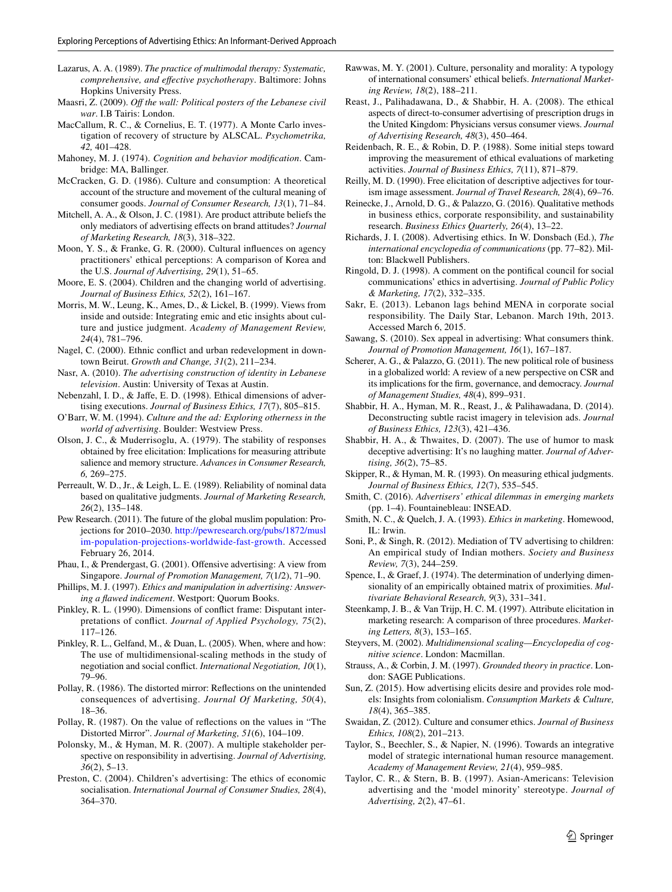- <span id="page-16-28"></span>Lazarus, A. A. (1989). *The practice of multimodal therapy: Systematic, comprehensive, and efective psychotherapy*. Baltimore: Johns Hopkins University Press.
- <span id="page-16-44"></span>Maasri, Z. (2009). Off the wall: Political posters of the Lebanese civil *war*. I.B Tairis: London.
- <span id="page-16-38"></span>MacCallum, R. C., & Cornelius, E. T. (1977). A Monte Carlo investigation of recovery of structure by ALSCAL. *Psychometrika, 42,* 401–428.
- <span id="page-16-29"></span>Mahoney, M. J. (1974). *Cognition and behavior modifcation*. Cambridge: MA, Ballinger.
- <span id="page-16-12"></span>McCracken, G. D. (1986). Culture and consumption: A theoretical account of the structure and movement of the cultural meaning of consumer goods. *Journal of Consumer Research, 13*(1), 71–84.
- <span id="page-16-34"></span>Mitchell, A. A., & Olson, J. C. (1981). Are product attribute beliefs the only mediators of advertising efects on brand attitudes? *Journal of Marketing Research, 18*(3), 318–322.
- <span id="page-16-14"></span>Moon, Y. S., & Franke, G. R. (2000). Cultural infuences on agency practitioners' ethical perceptions: A comparison of Korea and the U.S. *Journal of Advertising, 29*(1), 51–65.
- <span id="page-16-9"></span>Moore, E. S. (2004). Children and the changing world of advertising. *Journal of Business Ethics, 52*(2), 161–167.
- <span id="page-16-16"></span>Morris, M. W., Leung, K., Ames, D., & Lickel, B. (1999). Views from inside and outside: Integrating emic and etic insights about culture and justice judgment. *Academy of Management Review, 24*(4), 781–796.
- <span id="page-16-47"></span>Nagel, C. (2000). Ethnic confict and urban redevelopment in downtown Beirut. *Growth and Change, 31*(2), 211–234.
- <span id="page-16-33"></span>Nasr, A. (2010). *The advertising construction of identity in Lebanese television*. Austin: University of Texas at Austin.
- <span id="page-16-46"></span>Nebenzahl, I. D., & Jafe, E. D. (1998). Ethical dimensions of advertising executions. *Journal of Business Ethics, 17*(7), 805–815.
- <span id="page-16-23"></span>O'Barr, W. M. (1994). *Culture and the ad: Exploring otherness in the world of advertising*. Boulder: Westview Press.
- <span id="page-16-35"></span>Olson, J. C., & Muderrisoglu, A. (1979). The stability of responses obtained by free elicitation: Implications for measuring attribute salience and memory structure. *Advances in Consumer Research, 6,* 269–275.
- <span id="page-16-40"></span>Perreault, W. D., Jr., & Leigh, L. E. (1989). Reliability of nominal data based on qualitative judgments. *Journal of Marketing Research, 26*(2), 135–148.
- <span id="page-16-31"></span>Pew Research. (2011). The future of the global muslim population: Projections for 2010–2030. [http://pewresearch.org/pubs/1872/musl](http://pewresearch.org/pubs/1872/muslim-population-projections-worldwide-fast-growth) [im-population-projections-worldwide-fast-growth.](http://pewresearch.org/pubs/1872/muslim-population-projections-worldwide-fast-growth) Accessed February 26, 2014.
- <span id="page-16-21"></span>Phau, I., & Prendergast, G. (2001). Offensive advertising: A view from Singapore. *Journal of Promotion Management, 7*(1/2), 71–90.
- <span id="page-16-41"></span>Phillips, M. J. (1997). *Ethics and manipulation in advertising: Answering a fawed indicement*. Westport: Quorum Books.
- <span id="page-16-30"></span>Pinkley, R. L. (1990). Dimensions of confict frame: Disputant interpretations of confict. *Journal of Applied Psychology, 75*(2), 117–126.
- <span id="page-16-26"></span>Pinkley, R. L., Gelfand, M., & Duan, L. (2005). When, where and how: The use of multidimensional-scaling methods in the study of negotiation and social confict. *International Negotiation, 10*(1), 79–96.
- <span id="page-16-2"></span>Pollay, R. (1986). The distorted mirror: Refections on the unintended consequences of advertising. *Journal Of Marketing, 50*(4), 18–36.
- <span id="page-16-3"></span>Pollay, R. (1987). On the value of refections on the values in "The Distorted Mirror". *Journal of Marketing, 51*(6), 104–109.
- <span id="page-16-7"></span>Polonsky, M., & Hyman, M. R. (2007). A multiple stakeholder perspective on responsibility in advertising. *Journal of Advertising, 36*(2), 5–13.
- <span id="page-16-10"></span>Preston, C. (2004). Children's advertising: The ethics of economic socialisation. *International Journal of Consumer Studies, 28*(4), 364–370.
- <span id="page-16-22"></span>Rawwas, M. Y. (2001). Culture, personality and morality: A typology of international consumers' ethical beliefs. *International Marketing Review, 18*(2), 188–211.
- <span id="page-16-19"></span>Reast, J., Palihadawana, D., & Shabbir, H. A. (2008). The ethical aspects of direct-to-consumer advertising of prescription drugs in the United Kingdom: Physicians versus consumer views. *Journal of Advertising Research, 48*(3), 450–464.
- <span id="page-16-24"></span>Reidenbach, R. E., & Robin, D. P. (1988). Some initial steps toward improving the measurement of ethical evaluations of marketing activities. *Journal of Business Ethics, 7*(11), 871–879.
- <span id="page-16-25"></span>Reilly, M. D. (1990). Free elicitation of descriptive adjectives for tourism image assessment. *Journal of Travel Research, 28*(4), 69–76.
- <span id="page-16-17"></span>Reinecke, J., Arnold, D. G., & Palazzo, G. (2016). Qualitative methods in business ethics, corporate responsibility, and sustainability research. *Business Ethics Quarterly, 26*(4), 13–22.
- <span id="page-16-1"></span>Richards, J. I. (2008). Advertising ethics. In W. Donsbach (Ed.), *The international encyclopedia of communications* (pp. 77–82). Milton: Blackwell Publishers.
- <span id="page-16-5"></span>Ringold, D. J. (1998). A comment on the pontifcal council for social communications' ethics in advertising. *Journal of Public Policy & Marketing, 17*(2), 332–335.
- <span id="page-16-45"></span>Sakr, E. (2013). Lebanon lags behind MENA in corporate social responsibility. The Daily Star, Lebanon. March 19th, 2013. Accessed March 6, 2015.
- <span id="page-16-18"></span>Sawang, S. (2010). Sex appeal in advertising: What consumers think. *Journal of Promotion Management, 16*(1), 167–187.
- <span id="page-16-43"></span>Scherer, A. G., & Palazzo, G. (2011). The new political role of business in a globalized world: A review of a new perspective on CSR and its implications for the frm, governance, and democracy. *Journal of Management Studies, 48*(4), 899–931.
- <span id="page-16-11"></span>Shabbir, H. A., Hyman, M. R., Reast, J., & Palihawadana, D. (2014). Deconstructing subtle racist imagery in television ads. *Journal of Business Ethics, 123*(3), 421–436.
- <span id="page-16-0"></span>Shabbir, H. A., & Thwaites, D. (2007). The use of humor to mask deceptive advertising: It's no laughing matter. *Journal of Advertising, 36*(2), 75–85.
- <span id="page-16-6"></span>Skipper, R., & Hyman, M. R. (1993). On measuring ethical judgments. *Journal of Business Ethics, 12*(7), 535–545.
- <span id="page-16-32"></span>Smith, C. (2016). *Advertisers' ethical dilemmas in emerging markets* (pp. 1–4). Fountainebleau: INSEAD.
- <span id="page-16-4"></span>Smith, N. C., & Quelch, J. A. (1993). *Ethics in marketing*. Homewood, IL: Irwin.
- <span id="page-16-20"></span>Soni, P., & Singh, R. (2012). Mediation of TV advertising to children: An empirical study of Indian mothers. *Society and Business Review, 7*(3), 244–259.
- <span id="page-16-37"></span>Spence, I., & Graef, J. (1974). The determination of underlying dimensionality of an empirically obtained matrix of proximities. *Multivariate Behavioral Research, 9*(3), 331–341.
- <span id="page-16-36"></span>Steenkamp, J. B., & Van Trijp, H. C. M. (1997). Attribute elicitation in marketing research: A comparison of three procedures. *Marketing Letters, 8*(3), 153–165.
- <span id="page-16-39"></span>Steyvers, M. (2002). *Multidimensional scaling—Encyclopedia of cognitive science*. London: Macmillan.
- <span id="page-16-27"></span>Strauss, A., & Corbin, J. M. (1997). *Grounded theory in practice*. London: SAGE Publications.
- <span id="page-16-13"></span>Sun, Z. (2015). How advertising elicits desire and provides role models: Insights from colonialism. *Consumption Markets & Culture, 18*(4), 365–385.
- <span id="page-16-8"></span>Swaidan, Z. (2012). Culture and consumer ethics. *Journal of Business Ethics, 108*(2), 201–213.
- <span id="page-16-15"></span>Taylor, S., Beechler, S., & Napier, N. (1996). Towards an integrative model of strategic international human resource management. *Academy of Management Review, 21*(4), 959–985.
- <span id="page-16-42"></span>Taylor, C. R., & Stern, B. B. (1997). Asian-Americans: Television advertising and the 'model minority' stereotype. *Journal of Advertising, 2*(2), 47–61.